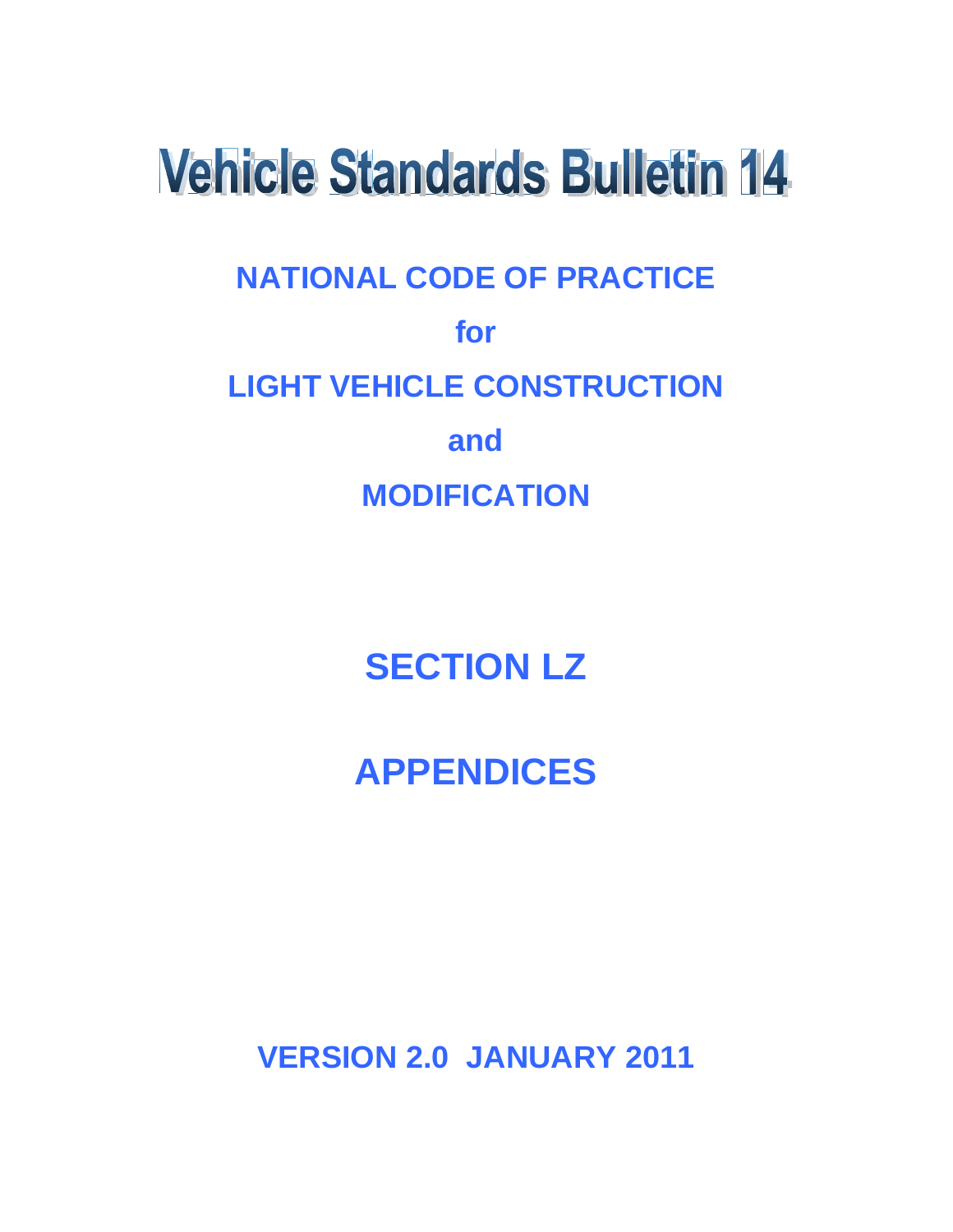# **Vehicle Standards Bulletin 14**

# **NATIONAL CODE OF PRACTICE for LIGHT VEHICLE CONSTRUCTION and MODIFICATION**

# **SECTION LZ**

# **APPENDICES**

**VERSION 2.0 JANUARY 2011**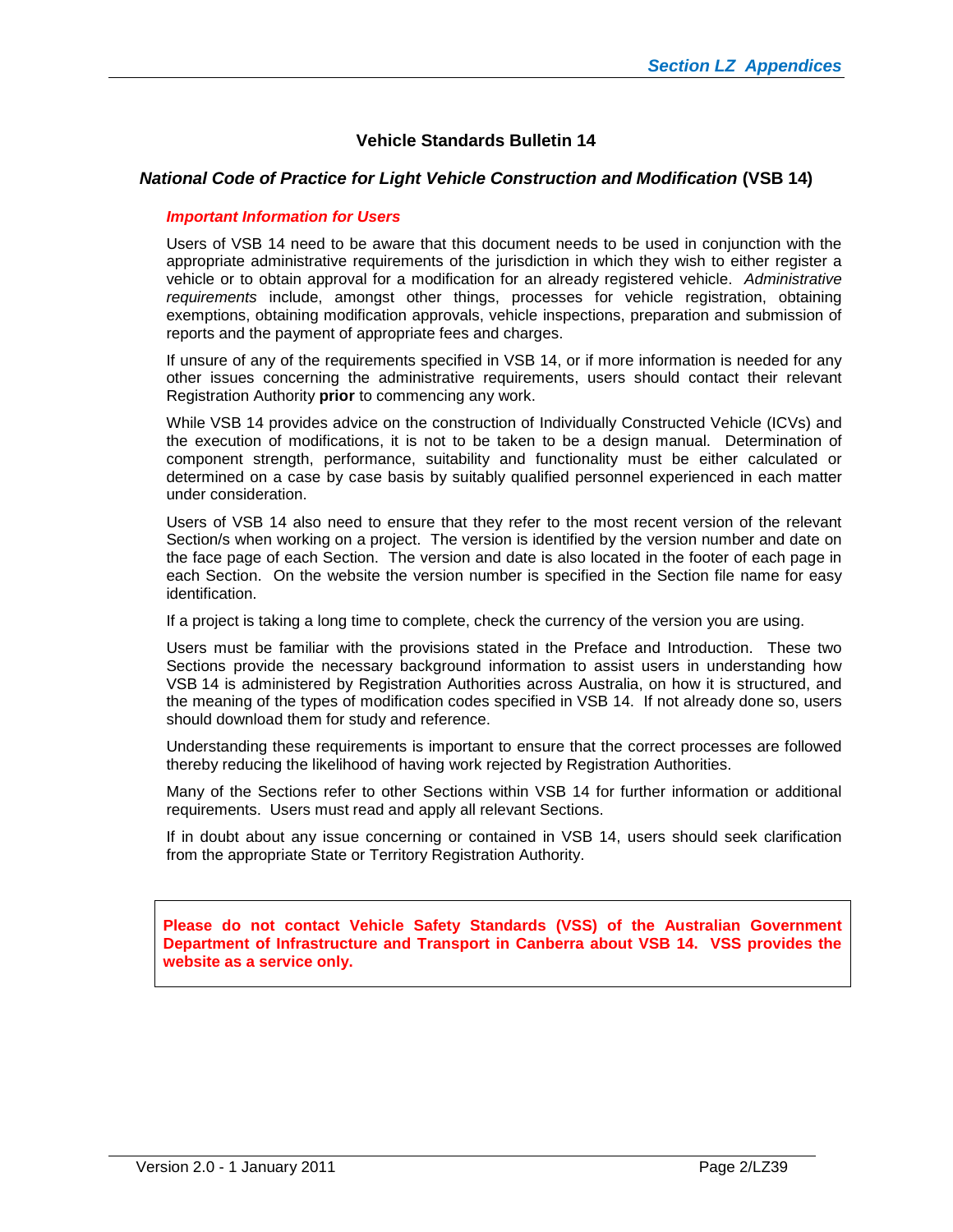### **Vehicle Standards Bulletin 14**

#### *National Code of Practice for Light Vehicle Construction and Modification* **(VSB 14)**

#### *Important Information for Users*

Users of VSB 14 need to be aware that this document needs to be used in conjunction with the appropriate administrative requirements of the jurisdiction in which they wish to either register a vehicle or to obtain approval for a modification for an already registered vehicle. *Administrative requirements* include, amongst other things, processes for vehicle registration, obtaining exemptions, obtaining modification approvals, vehicle inspections, preparation and submission of reports and the payment of appropriate fees and charges.

If unsure of any of the requirements specified in VSB 14, or if more information is needed for any other issues concerning the administrative requirements, users should contact their relevant Registration Authority **prior** to commencing any work.

While VSB 14 provides advice on the construction of Individually Constructed Vehicle (ICVs) and the execution of modifications, it is not to be taken to be a design manual. Determination of component strength, performance, suitability and functionality must be either calculated or determined on a case by case basis by suitably qualified personnel experienced in each matter under consideration.

Users of VSB 14 also need to ensure that they refer to the most recent version of the relevant Section/s when working on a project. The version is identified by the version number and date on the face page of each Section. The version and date is also located in the footer of each page in each Section. On the website the version number is specified in the Section file name for easy identification.

If a project is taking a long time to complete, check the currency of the version you are using.

Users must be familiar with the provisions stated in the Preface and Introduction. These two Sections provide the necessary background information to assist users in understanding how VSB 14 is administered by Registration Authorities across Australia, on how it is structured, and the meaning of the types of modification codes specified in VSB 14. If not already done so, users should download them for study and reference.

Understanding these requirements is important to ensure that the correct processes are followed thereby reducing the likelihood of having work rejected by Registration Authorities.

Many of the Sections refer to other Sections within VSB 14 for further information or additional requirements. Users must read and apply all relevant Sections.

If in doubt about any issue concerning or contained in VSB 14, users should seek clarification from the appropriate State or Territory Registration Authority.

**Please do not contact Vehicle Safety Standards (VSS) of the Australian Government Department of Infrastructure and Transport in Canberra about VSB 14. VSS provides the website as a service only.**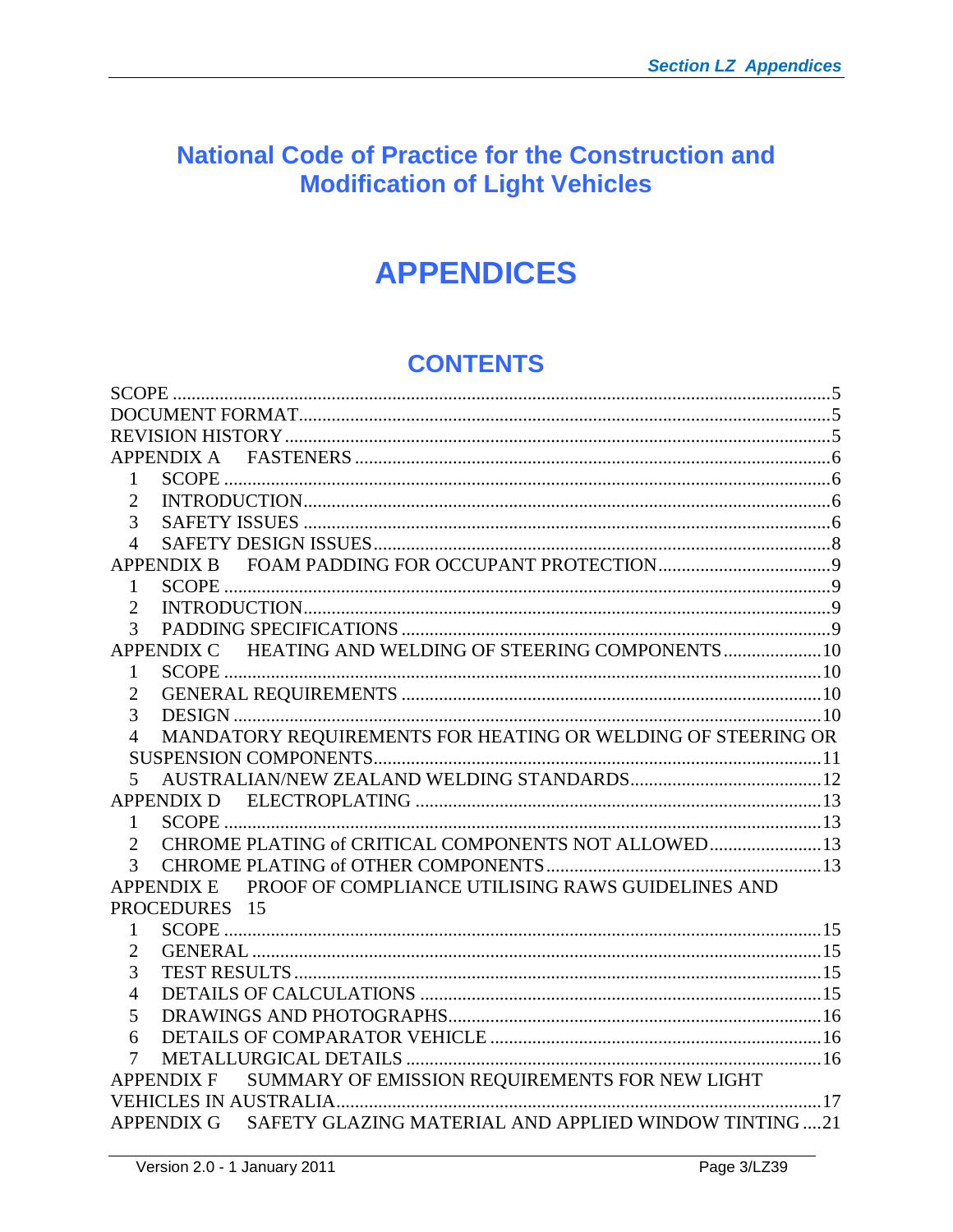# **National Code of Practice for the Construction and Modification of Light Vehicles**

# **APPENDICES**

# **CONTENTS**

| <b>APPENDIX A</b>                                                      |  |  |  |  |
|------------------------------------------------------------------------|--|--|--|--|
| 1                                                                      |  |  |  |  |
| $\overline{2}$                                                         |  |  |  |  |
| 3                                                                      |  |  |  |  |
| $\overline{4}$                                                         |  |  |  |  |
|                                                                        |  |  |  |  |
| 1                                                                      |  |  |  |  |
| $\overline{2}$                                                         |  |  |  |  |
| 3                                                                      |  |  |  |  |
| APPENDIX C HEATING AND WELDING OF STEERING COMPONENTS  10              |  |  |  |  |
| $\mathbf{1}$                                                           |  |  |  |  |
| 2                                                                      |  |  |  |  |
| 3                                                                      |  |  |  |  |
| MANDATORY REQUIREMENTS FOR HEATING OR WELDING OF STEERING OR<br>4      |  |  |  |  |
|                                                                        |  |  |  |  |
| 5                                                                      |  |  |  |  |
| <b>APPENDIX D</b>                                                      |  |  |  |  |
| $\mathbf{1}$                                                           |  |  |  |  |
| CHROME PLATING of CRITICAL COMPONENTS NOT ALLOWED 13<br>$\overline{2}$ |  |  |  |  |
| 3                                                                      |  |  |  |  |
| APPENDIX E PROOF OF COMPLIANCE UTILISING RAWS GUIDELINES AND           |  |  |  |  |
| PROCEDURES 15                                                          |  |  |  |  |
| 1                                                                      |  |  |  |  |
| $\overline{2}$                                                         |  |  |  |  |
| 3                                                                      |  |  |  |  |
| 4                                                                      |  |  |  |  |
| 5                                                                      |  |  |  |  |
| 6                                                                      |  |  |  |  |
| 7                                                                      |  |  |  |  |
| SUMMARY OF EMISSION REQUIREMENTS FOR NEW LIGHT<br><b>APPENDIX F</b>    |  |  |  |  |
|                                                                        |  |  |  |  |
| APPENDIX G SAFETY GLAZING MATERIAL AND APPLIED WINDOW TINTING21        |  |  |  |  |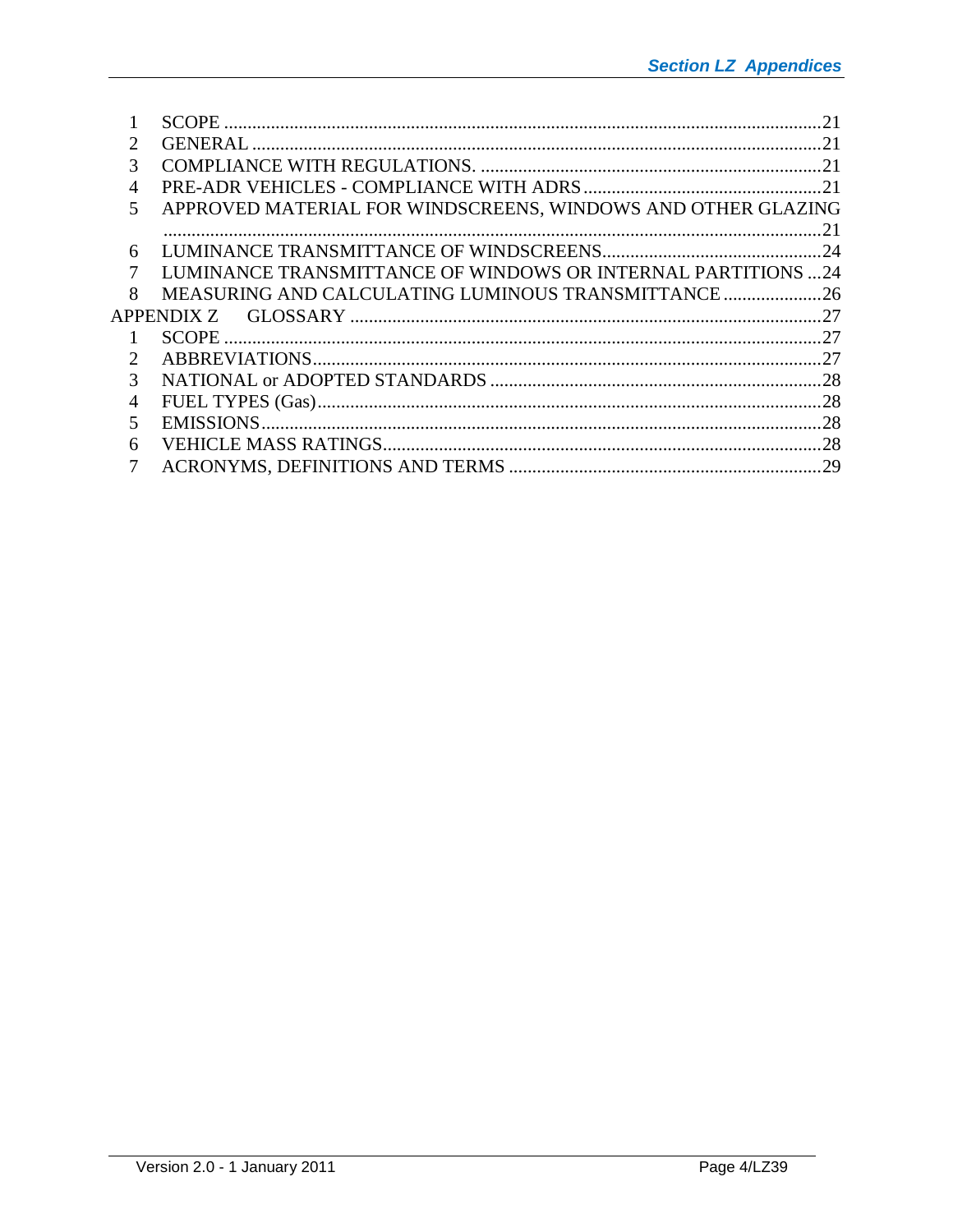|                             |                                                              | 21 |
|-----------------------------|--------------------------------------------------------------|----|
| $\mathcal{D}_{\cdot}$       |                                                              |    |
| 3                           |                                                              |    |
| 4                           |                                                              |    |
| 5                           | APPROVED MATERIAL FOR WINDSCREENS, WINDOWS AND OTHER GLAZING |    |
|                             |                                                              | 21 |
| 6                           |                                                              |    |
| 7                           | LUMINANCE TRANSMITTANCE OF WINDOWS OR INTERNAL PARTITIONS 24 |    |
| 8                           | MEASURING AND CALCULATING LUMINOUS TRANSMITTANCE             |    |
|                             |                                                              |    |
|                             |                                                              |    |
| $\mathcal{D}_{\mathcal{L}}$ |                                                              |    |
| 3                           |                                                              |    |
| 4                           |                                                              |    |
| 5.                          |                                                              |    |
| 6                           |                                                              |    |
| 7                           |                                                              |    |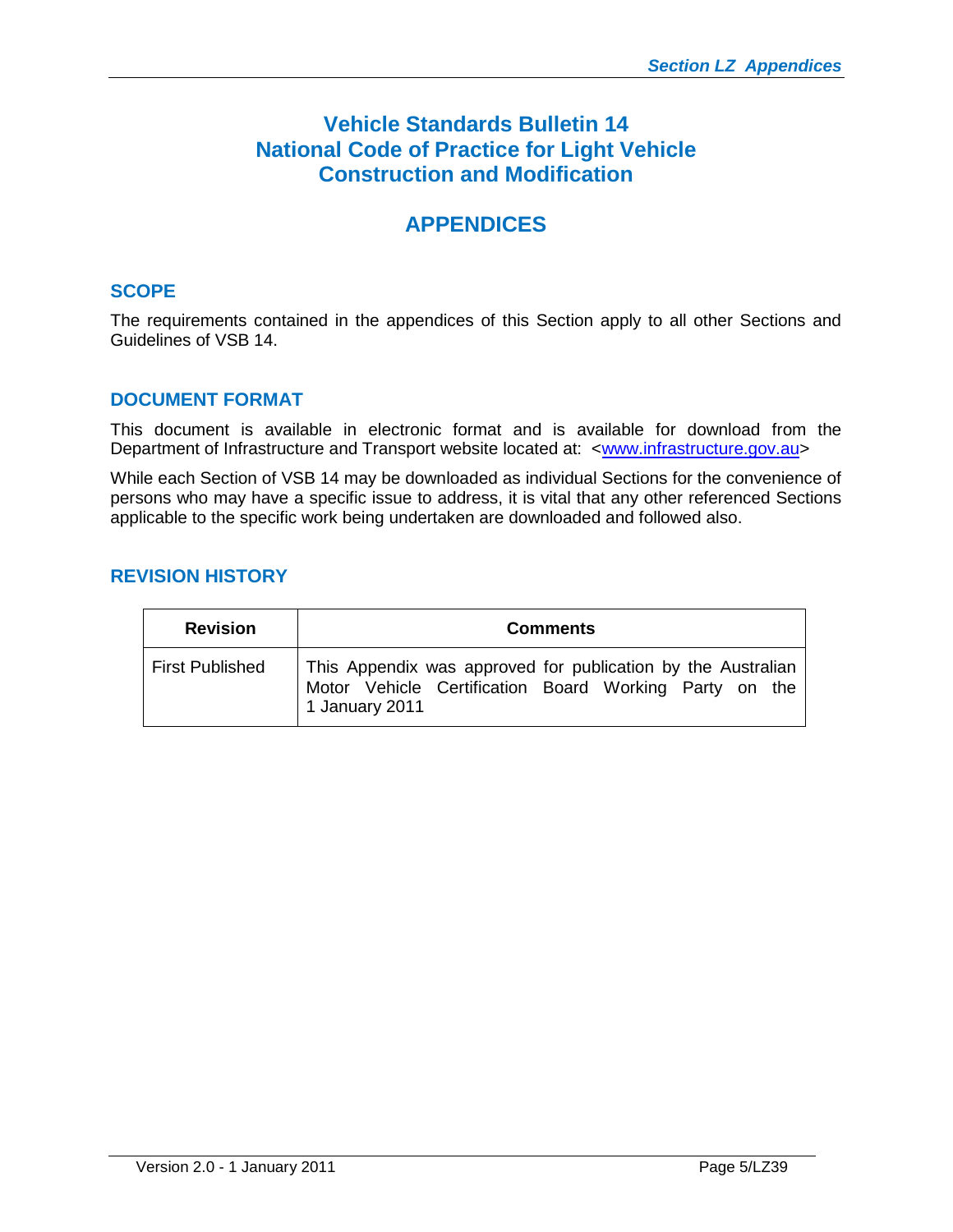# **Vehicle Standards Bulletin 14 National Code of Practice for Light Vehicle Construction and Modification**

# **APPENDICES**

# <span id="page-4-0"></span>**SCOPE**

The requirements contained in the appendices of this Section apply to all other Sections and Guidelines of VSB 14.

# <span id="page-4-1"></span>**DOCUMENT FORMAT**

This document is available in electronic format and is available for download from the Departmentof Infrastructure and Transport website located at: <[www.infrastructure.gov.au>](http://www.infrastructure.gov.au/)

While each Section of VSB 14 may be downloaded as individual Sections for the convenience of persons who may have a specific issue to address, it is vital that any other referenced Sections applicable to the specific work being undertaken are downloaded and followed also.

# <span id="page-4-2"></span>**REVISION HISTORY**

| <b>Revision</b>        | <b>Comments</b>                                                                                                                          |  |  |  |  |
|------------------------|------------------------------------------------------------------------------------------------------------------------------------------|--|--|--|--|
| <b>First Published</b> | This Appendix was approved for publication by the Australian<br>Motor Vehicle Certification Board Working Party on the<br>1 January 2011 |  |  |  |  |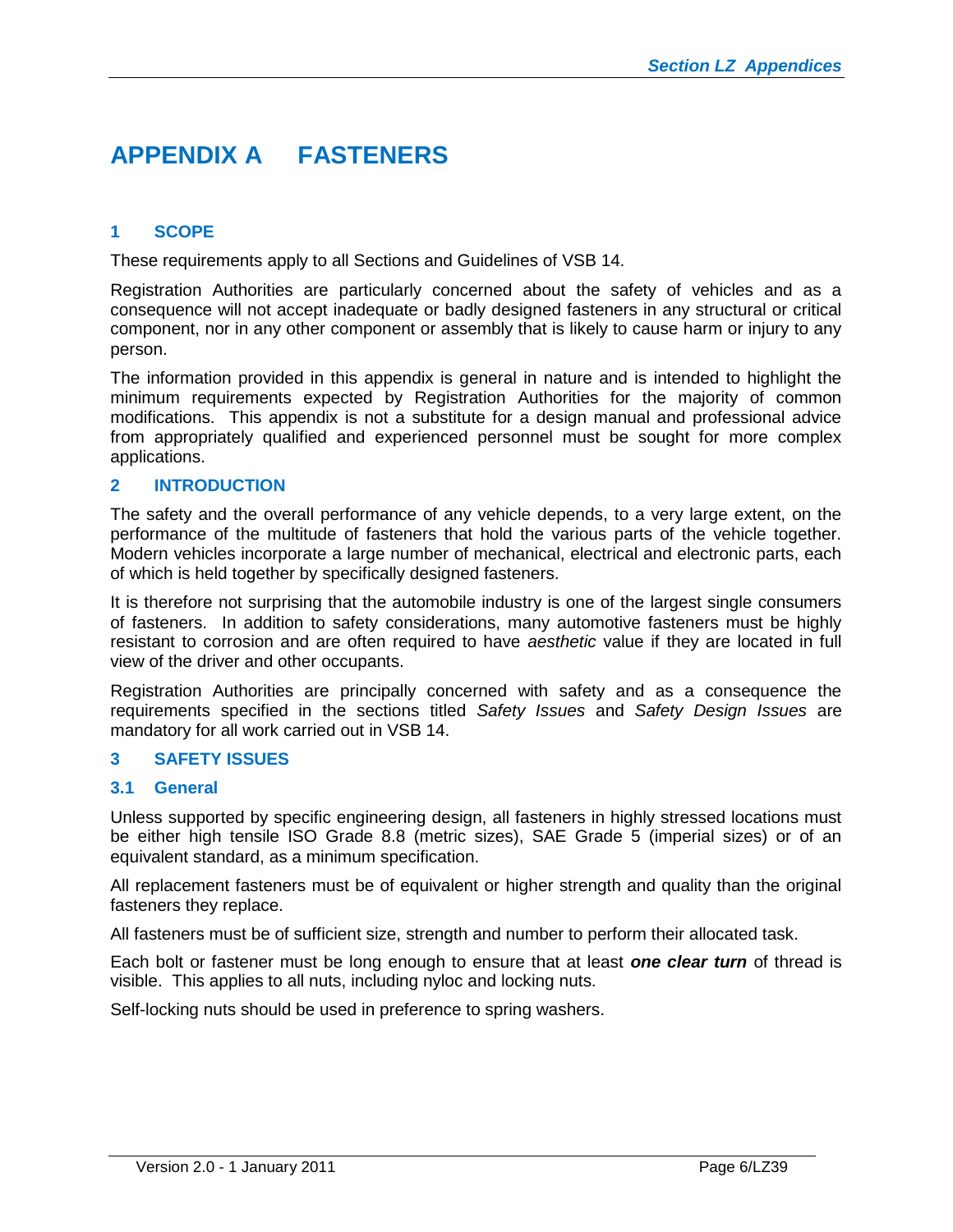# <span id="page-5-0"></span>**APPENDIX A FASTENERS**

# <span id="page-5-1"></span>**1 SCOPE**

These requirements apply to all Sections and Guidelines of VSB 14.

Registration Authorities are particularly concerned about the safety of vehicles and as a consequence will not accept inadequate or badly designed fasteners in any structural or critical component, nor in any other component or assembly that is likely to cause harm or injury to any person.

The information provided in this appendix is general in nature and is intended to highlight the minimum requirements expected by Registration Authorities for the majority of common modifications. This appendix is not a substitute for a design manual and professional advice from appropriately qualified and experienced personnel must be sought for more complex applications.

# <span id="page-5-2"></span>**2 INTRODUCTION**

The safety and the overall performance of any vehicle depends, to a very large extent, on the performance of the multitude of fasteners that hold the various parts of the vehicle together. Modern vehicles incorporate a large number of mechanical, electrical and electronic parts, each of which is held together by specifically designed fasteners.

It is therefore not surprising that the automobile industry is one of the largest single consumers of fasteners. In addition to safety considerations, many automotive fasteners must be highly resistant to corrosion and are often required to have *aesthetic* value if they are located in full view of the driver and other occupants.

Registration Authorities are principally concerned with safety and as a consequence the requirements specified in the sections titled *Safety Issues* and *Safety Design Issues* are mandatory for all work carried out in VSB 14.

#### <span id="page-5-3"></span>**3 SAFETY ISSUES**

#### **3.1 General**

Unless supported by specific engineering design, all fasteners in highly stressed locations must be either high tensile ISO Grade 8.8 (metric sizes), SAE Grade 5 (imperial sizes) or of an equivalent standard, as a minimum specification.

All replacement fasteners must be of equivalent or higher strength and quality than the original fasteners they replace.

All fasteners must be of sufficient size, strength and number to perform their allocated task.

Each bolt or fastener must be long enough to ensure that at least *one clear turn* of thread is visible. This applies to all nuts, including nyloc and locking nuts.

Self-locking nuts should be used in preference to spring washers.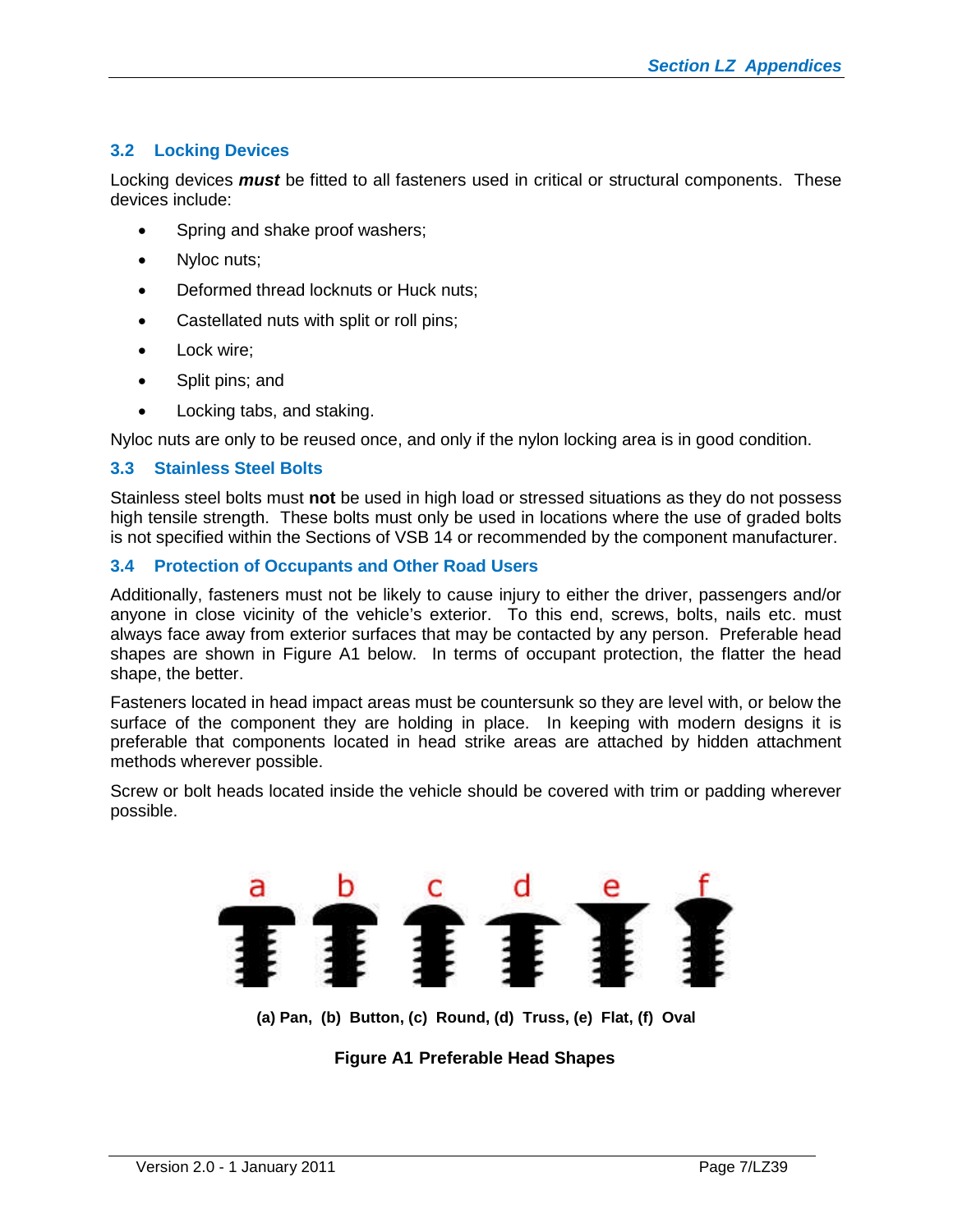# **3.2 Locking Devices**

Locking devices *must* be fitted to all fasteners used in critical or structural components. These devices include:

- Spring and shake proof washers;
- Nyloc nuts;
- Deformed thread locknuts or Huck nuts:
- Castellated nuts with split or roll pins;
- Lock wire;
- Split pins; and
- Locking tabs, and staking.

Nyloc nuts are only to be reused once, and only if the nylon locking area is in good condition.

#### **3.3 Stainless Steel Bolts**

Stainless steel bolts must **not** be used in high load or stressed situations as they do not possess high tensile strength. These bolts must only be used in locations where the use of graded bolts is not specified within the Sections of VSB 14 or recommended by the component manufacturer.

# **3.4 Protection of Occupants and Other Road Users**

Additionally, fasteners must not be likely to cause injury to either the driver, passengers and/or anyone in close vicinity of the vehicle's exterior. To this end, screws, bolts, nails etc. must always face away from exterior surfaces that may be contacted by any person. Preferable head shapes are shown in Figure A1 below. In terms of occupant protection, the flatter the head shape, the better.

Fasteners located in head impact areas must be countersunk so they are level with, or below the surface of the component they are holding in place. In keeping with modern designs it is preferable that components located in head strike areas are attached by hidden attachment methods wherever possible.

Screw or bolt heads located inside the vehicle should be covered with trim or padding wherever possible.



**(a) Pan, (b) Button, (c) Round, (d) Truss, (e) Flat, (f) Oval**

**Figure A1 Preferable Head Shapes**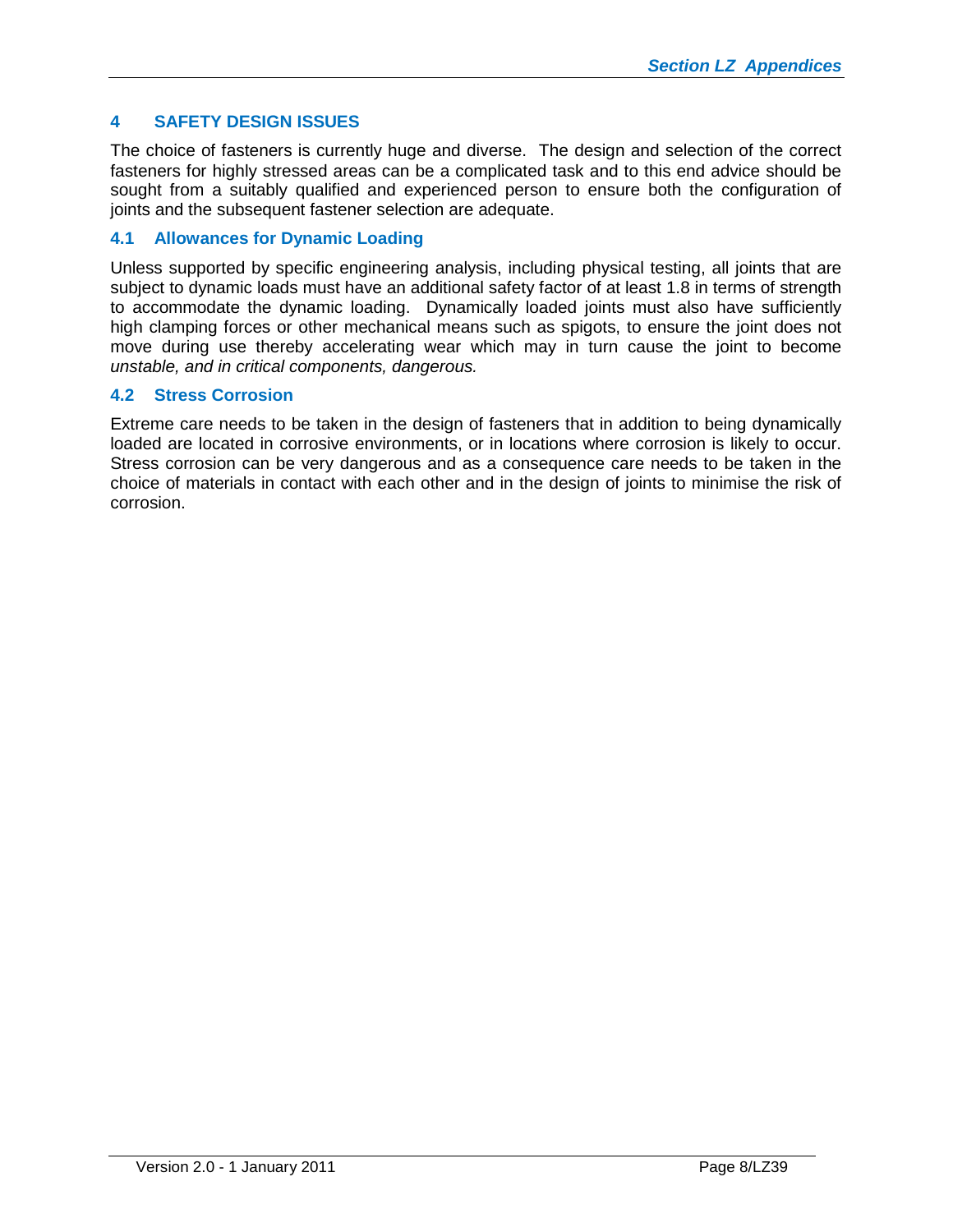# <span id="page-7-0"></span>**4 SAFETY DESIGN ISSUES**

The choice of fasteners is currently huge and diverse. The design and selection of the correct fasteners for highly stressed areas can be a complicated task and to this end advice should be sought from a suitably qualified and experienced person to ensure both the configuration of joints and the subsequent fastener selection are adequate.

# **4.1 Allowances for Dynamic Loading**

Unless supported by specific engineering analysis, including physical testing, all joints that are subject to dynamic loads must have an additional safety factor of at least 1.8 in terms of strength to accommodate the dynamic loading. Dynamically loaded joints must also have sufficiently high clamping forces or other mechanical means such as spigots, to ensure the joint does not move during use thereby accelerating wear which may in turn cause the joint to become *unstable, and in critical components, dangerous.*

# **4.2 Stress Corrosion**

Extreme care needs to be taken in the design of fasteners that in addition to being dynamically loaded are located in corrosive environments, or in locations where corrosion is likely to occur. Stress corrosion can be very dangerous and as a consequence care needs to be taken in the choice of materials in contact with each other and in the design of joints to minimise the risk of corrosion.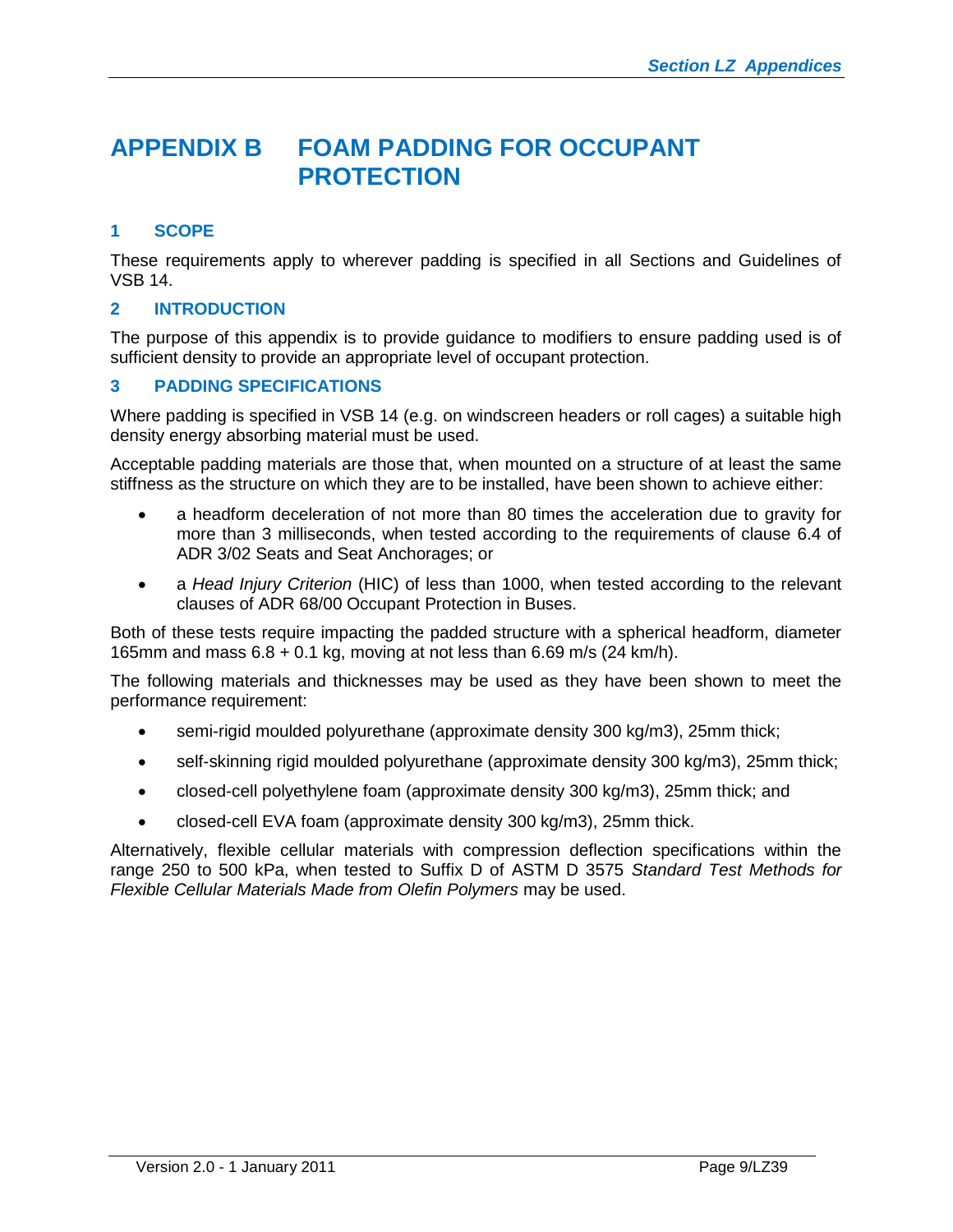# <span id="page-8-0"></span>**APPENDIX B FOAM PADDING FOR OCCUPANT PROTECTION**

# <span id="page-8-1"></span>**1 SCOPE**

These requirements apply to wherever padding is specified in all Sections and Guidelines of VSB 14.

# <span id="page-8-2"></span>**2 INTRODUCTION**

The purpose of this appendix is to provide guidance to modifiers to ensure padding used is of sufficient density to provide an appropriate level of occupant protection.

# <span id="page-8-3"></span>**3 PADDING SPECIFICATIONS**

Where padding is specified in VSB 14 (e.g. on windscreen headers or roll cages) a suitable high density energy absorbing material must be used.

Acceptable padding materials are those that, when mounted on a structure of at least the same stiffness as the structure on which they are to be installed, have been shown to achieve either:

- a headform deceleration of not more than 80 times the acceleration due to gravity for more than 3 milliseconds, when tested according to the requirements of clause 6.4 of ADR 3/02 Seats and Seat Anchorages; or
- a *Head Injury Criterion* (HIC) of less than 1000, when tested according to the relevant clauses of ADR 68/00 Occupant Protection in Buses.

Both of these tests require impacting the padded structure with a spherical headform, diameter 165mm and mass  $6.8 + 0.1$  kg, moving at not less than 6.69 m/s (24 km/h).

The following materials and thicknesses may be used as they have been shown to meet the performance requirement:

- semi-rigid moulded polyurethane (approximate density 300 kg/m3), 25mm thick;
- self-skinning rigid moulded polyurethane (approximate density 300 kg/m3), 25mm thick;
- closed-cell polyethylene foam (approximate density 300 kg/m3), 25mm thick; and
- closed-cell EVA foam (approximate density 300 kg/m3), 25mm thick.

Alternatively, flexible cellular materials with compression deflection specifications within the range 250 to 500 kPa, when tested to Suffix D of ASTM D 3575 *Standard Test Methods for Flexible Cellular Materials Made from Olefin Polymers* may be used.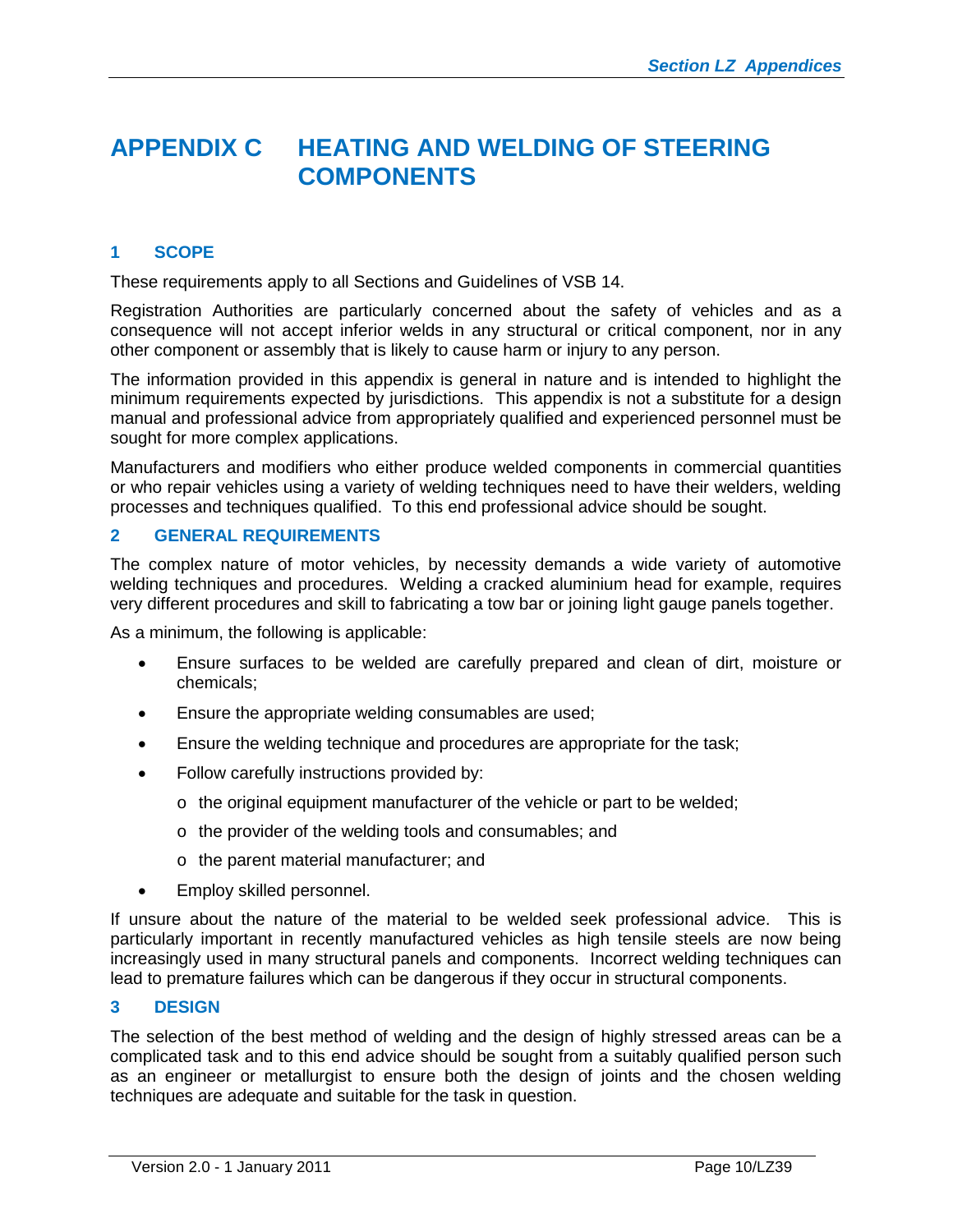# <span id="page-9-0"></span>**APPENDIX C HEATING AND WELDING OF STEERING COMPONENTS**

# <span id="page-9-1"></span>**1 SCOPE**

These requirements apply to all Sections and Guidelines of VSB 14.

Registration Authorities are particularly concerned about the safety of vehicles and as a consequence will not accept inferior welds in any structural or critical component, nor in any other component or assembly that is likely to cause harm or injury to any person.

The information provided in this appendix is general in nature and is intended to highlight the minimum requirements expected by jurisdictions. This appendix is not a substitute for a design manual and professional advice from appropriately qualified and experienced personnel must be sought for more complex applications.

Manufacturers and modifiers who either produce welded components in commercial quantities or who repair vehicles using a variety of welding techniques need to have their welders, welding processes and techniques qualified. To this end professional advice should be sought.

#### <span id="page-9-2"></span>**2 GENERAL REQUIREMENTS**

The complex nature of motor vehicles, by necessity demands a wide variety of automotive welding techniques and procedures. Welding a cracked aluminium head for example, requires very different procedures and skill to fabricating a tow bar or joining light gauge panels together.

As a minimum, the following is applicable:

- Ensure surfaces to be welded are carefully prepared and clean of dirt, moisture or chemicals;
- **Ensure the appropriate welding consumables are used:**
- **Ensure the welding technique and procedures are appropriate for the task;**
- Follow carefully instructions provided by:
	- o the original equipment manufacturer of the vehicle or part to be welded;
	- o the provider of the welding tools and consumables; and
	- o the parent material manufacturer; and
- Employ skilled personnel.

If unsure about the nature of the material to be welded seek professional advice. This is particularly important in recently manufactured vehicles as high tensile steels are now being increasingly used in many structural panels and components. Incorrect welding techniques can lead to premature failures which can be dangerous if they occur in structural components.

#### <span id="page-9-3"></span>**3 DESIGN**

The selection of the best method of welding and the design of highly stressed areas can be a complicated task and to this end advice should be sought from a suitably qualified person such as an engineer or metallurgist to ensure both the design of joints and the chosen welding techniques are adequate and suitable for the task in question.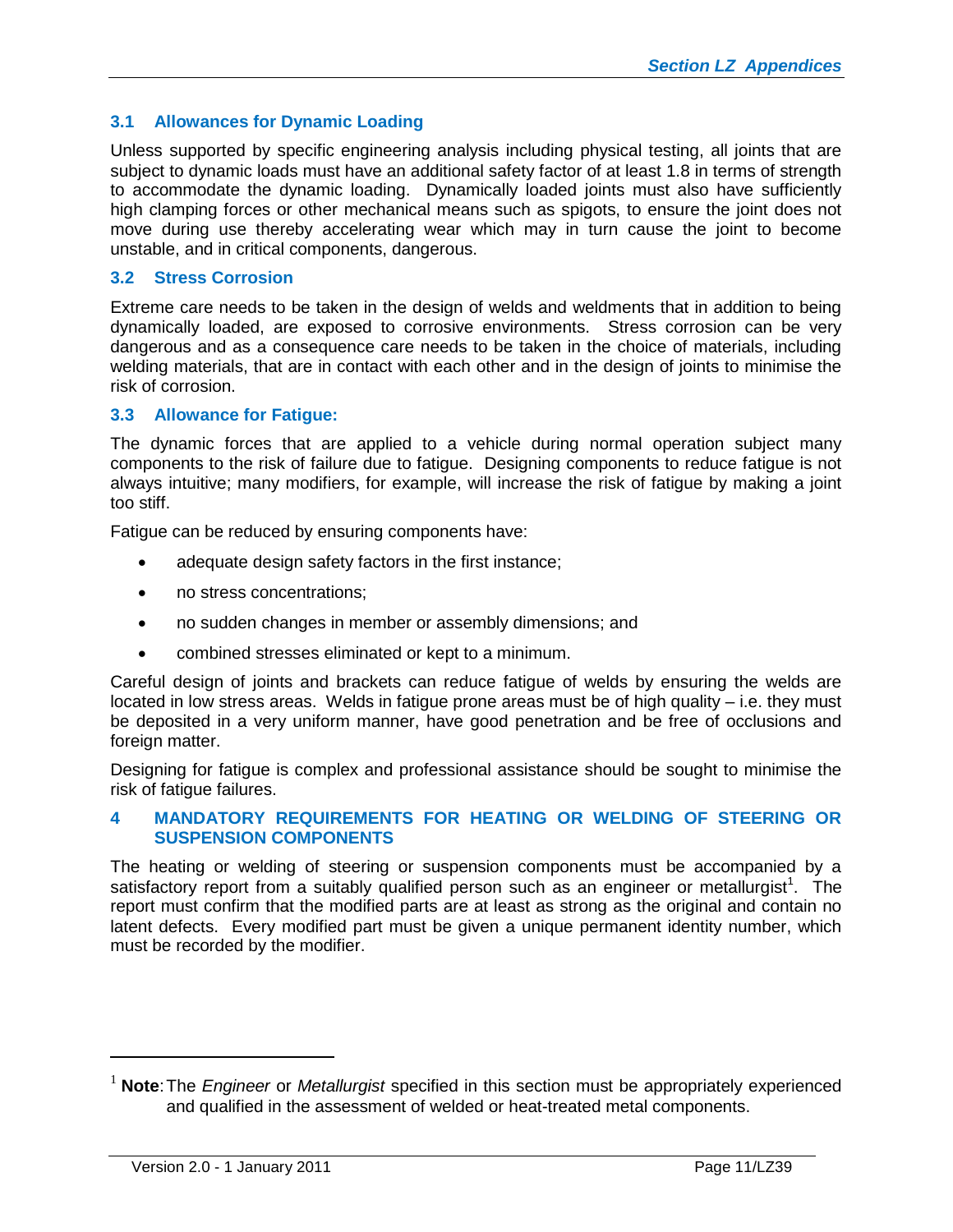# **3.1 Allowances for Dynamic Loading**

Unless supported by specific engineering analysis including physical testing, all joints that are subject to dynamic loads must have an additional safety factor of at least 1.8 in terms of strength to accommodate the dynamic loading. Dynamically loaded joints must also have sufficiently high clamping forces or other mechanical means such as spigots, to ensure the joint does not move during use thereby accelerating wear which may in turn cause the joint to become unstable, and in critical components, dangerous.

# **3.2 Stress Corrosion**

Extreme care needs to be taken in the design of welds and weldments that in addition to being dynamically loaded, are exposed to corrosive environments. Stress corrosion can be very dangerous and as a consequence care needs to be taken in the choice of materials, including welding materials, that are in contact with each other and in the design of joints to minimise the risk of corrosion.

# **3.3 Allowance for Fatigue:**

The dynamic forces that are applied to a vehicle during normal operation subject many components to the risk of failure due to fatigue. Designing components to reduce fatigue is not always intuitive; many modifiers, for example, will increase the risk of fatigue by making a joint too stiff.

Fatigue can be reduced by ensuring components have:

- adequate design safety factors in the first instance;
- no stress concentrations:
- no sudden changes in member or assembly dimensions; and
- combined stresses eliminated or kept to a minimum.

Careful design of joints and brackets can reduce fatigue of welds by ensuring the welds are located in low stress areas. Welds in fatigue prone areas must be of high quality – i.e. they must be deposited in a very uniform manner, have good penetration and be free of occlusions and foreign matter.

Designing for fatigue is complex and professional assistance should be sought to minimise the risk of fatigue failures.

#### <span id="page-10-0"></span>**4 MANDATORY REQUIREMENTS FOR HEATING OR WELDING OF STEERING OR SUSPENSION COMPONENTS**

The heating or welding of steering or suspension components must be accompanied by a satisfactory report from a suitably qualified person such as an engineer or metallurgist<sup>1</sup>[.](#page-10-1) The report must confirm that the modified parts are at least as strong as the original and contain no latent defects. Every modified part must be given a unique permanent identity number, which must be recorded by the modifier.

<span id="page-10-1"></span><sup>1</sup> **Note**:The *Engineer* or *Metallurgist* specified in this section must be appropriately experienced and qualified in the assessment of welded or heat-treated metal components.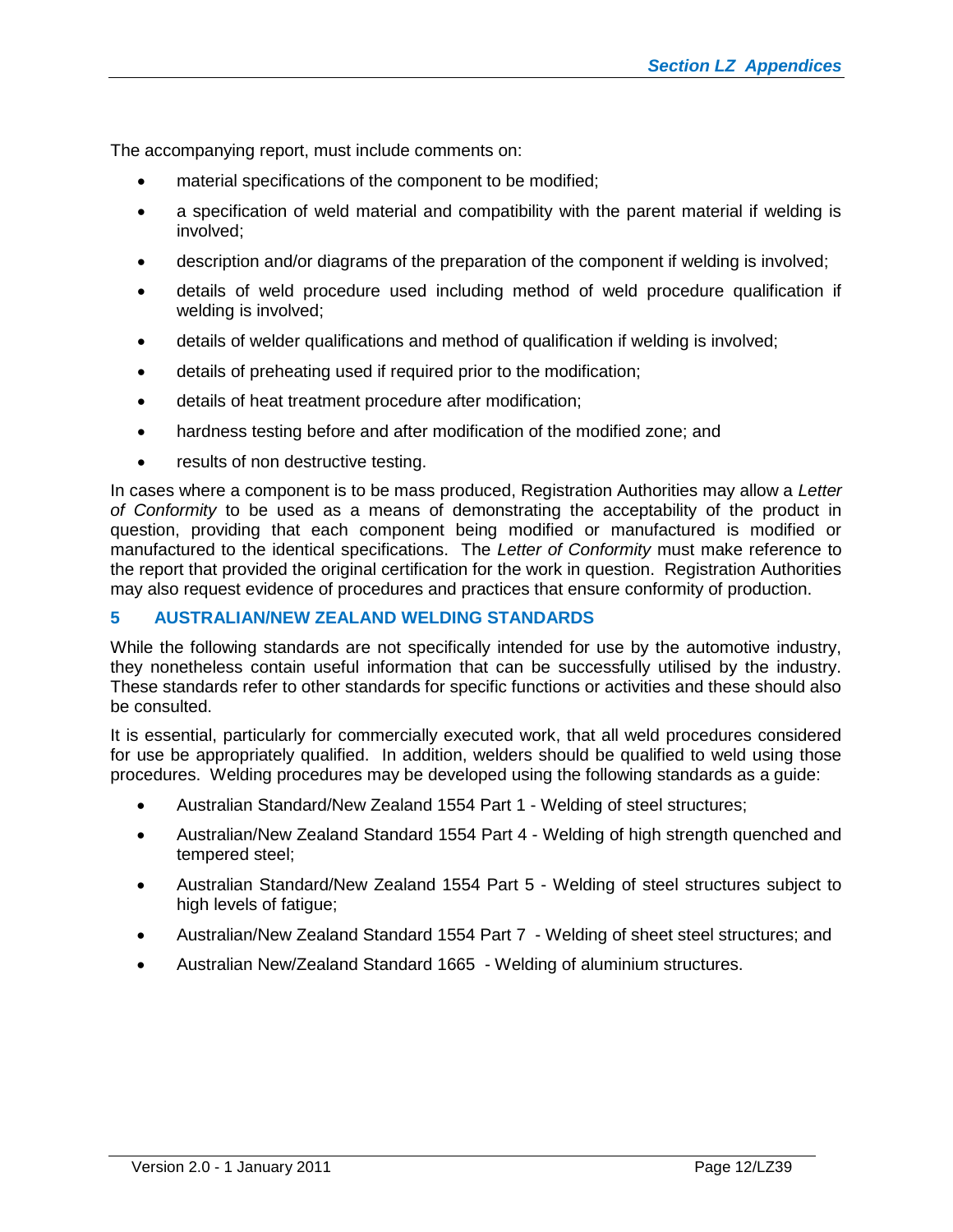The accompanying report, must include comments on:

- material specifications of the component to be modified;
- a specification of weld material and compatibility with the parent material if welding is involved;
- description and/or diagrams of the preparation of the component if welding is involved;
- details of weld procedure used including method of weld procedure qualification if welding is involved;
- details of welder qualifications and method of qualification if welding is involved;
- details of preheating used if required prior to the modification;
- details of heat treatment procedure after modification;
- hardness testing before and after modification of the modified zone; and
- results of non destructive testing.

In cases where a component is to be mass produced, Registration Authorities may allow a *Letter of Conformity* to be used as a means of demonstrating the acceptability of the product in question, providing that each component being modified or manufactured is modified or manufactured to the identical specifications. The *Letter of Conformity* must make reference to the report that provided the original certification for the work in question. Registration Authorities may also request evidence of procedures and practices that ensure conformity of production.

#### <span id="page-11-0"></span>**5 AUSTRALIAN/NEW ZEALAND WELDING STANDARDS**

While the following standards are not specifically intended for use by the automotive industry, they nonetheless contain useful information that can be successfully utilised by the industry. These standards refer to other standards for specific functions or activities and these should also be consulted.

It is essential, particularly for commercially executed work, that all weld procedures considered for use be appropriately qualified. In addition, welders should be qualified to weld using those procedures. Welding procedures may be developed using the following standards as a guide:

- Australian Standard/New Zealand 1554 Part 1 Welding of steel structures;
- Australian/New Zealand Standard 1554 Part 4 Welding of high strength quenched and tempered steel;
- Australian Standard/New Zealand 1554 Part 5 Welding of steel structures subject to high levels of fatigue;
- Australian/New Zealand Standard 1554 Part 7 Welding of sheet steel structures; and
- Australian New/Zealand Standard 1665 Welding of aluminium structures.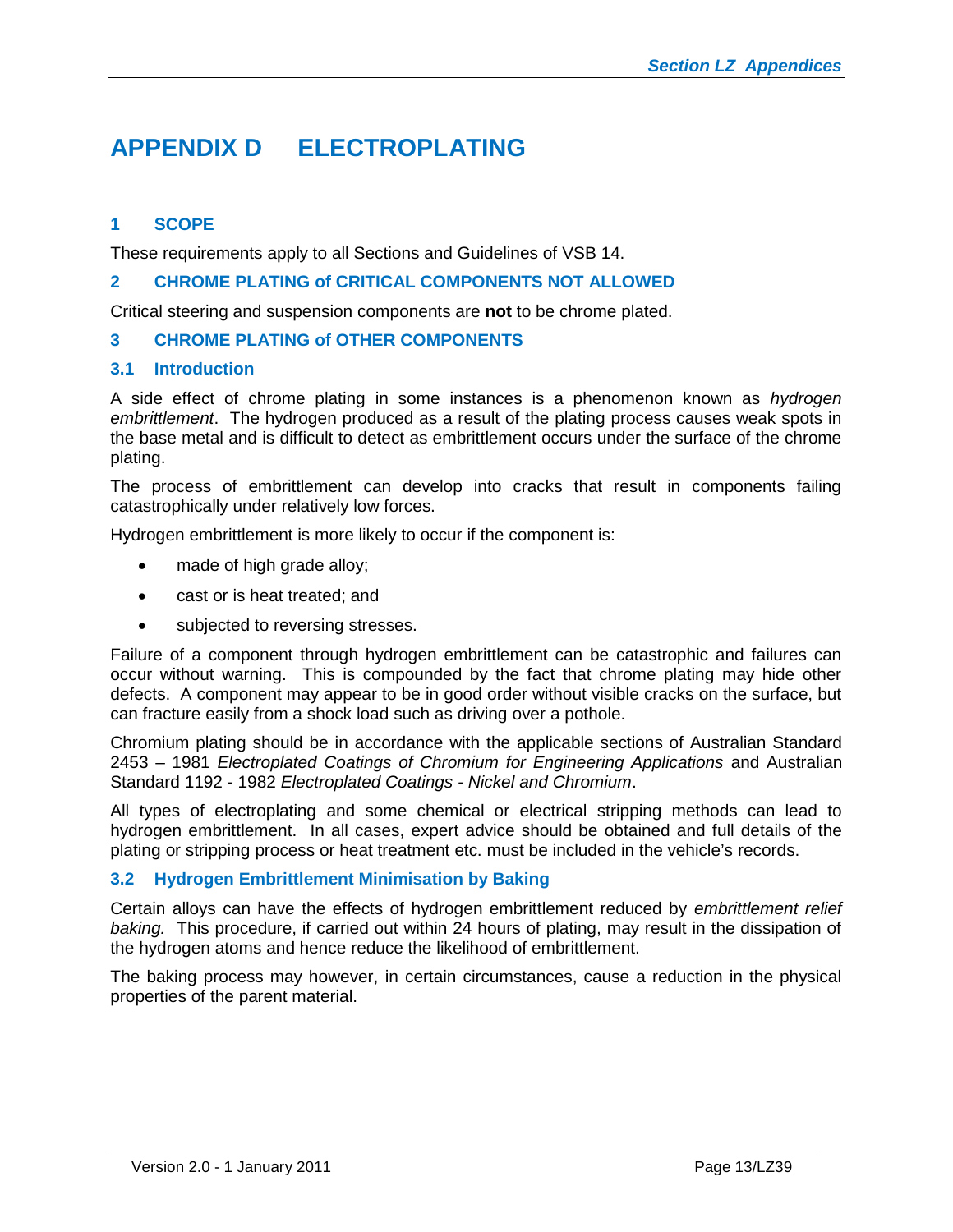# <span id="page-12-0"></span>**APPENDIX D ELECTROPLATING**

# <span id="page-12-1"></span>**1 SCOPE**

These requirements apply to all Sections and Guidelines of VSB 14.

#### <span id="page-12-2"></span>**2 CHROME PLATING of CRITICAL COMPONENTS NOT ALLOWED**

Critical steering and suspension components are **not** to be chrome plated.

#### <span id="page-12-3"></span>**3 CHROME PLATING of OTHER COMPONENTS**

#### **3.1 Introduction**

A side effect of chrome plating in some instances is a phenomenon known as *hydrogen embrittlement*. The hydrogen produced as a result of the plating process causes weak spots in the base metal and is difficult to detect as embrittlement occurs under the surface of the chrome plating.

The process of embrittlement can develop into cracks that result in components failing catastrophically under relatively low forces.

Hydrogen embrittlement is more likely to occur if the component is:

- made of high grade alloy;
- cast or is heat treated: and
- subjected to reversing stresses.

Failure of a component through hydrogen embrittlement can be catastrophic and failures can occur without warning. This is compounded by the fact that chrome plating may hide other defects. A component may appear to be in good order without visible cracks on the surface, but can fracture easily from a shock load such as driving over a pothole.

Chromium plating should be in accordance with the applicable sections of Australian Standard 2453 – 1981 *Electroplated Coatings of Chromium for Engineering Applications* and Australian Standard 1192 - 1982 *Electroplated Coatings - Nickel and Chromium*.

All types of electroplating and some chemical or electrical stripping methods can lead to hydrogen embrittlement. In all cases, expert advice should be obtained and full details of the plating or stripping process or heat treatment etc. must be included in the vehicle's records.

#### **3.2 Hydrogen Embrittlement Minimisation by Baking**

Certain alloys can have the effects of hydrogen embrittlement reduced by *embrittlement relief baking.* This procedure, if carried out within 24 hours of plating, may result in the dissipation of the hydrogen atoms and hence reduce the likelihood of embrittlement.

The baking process may however, in certain circumstances, cause a reduction in the physical properties of the parent material.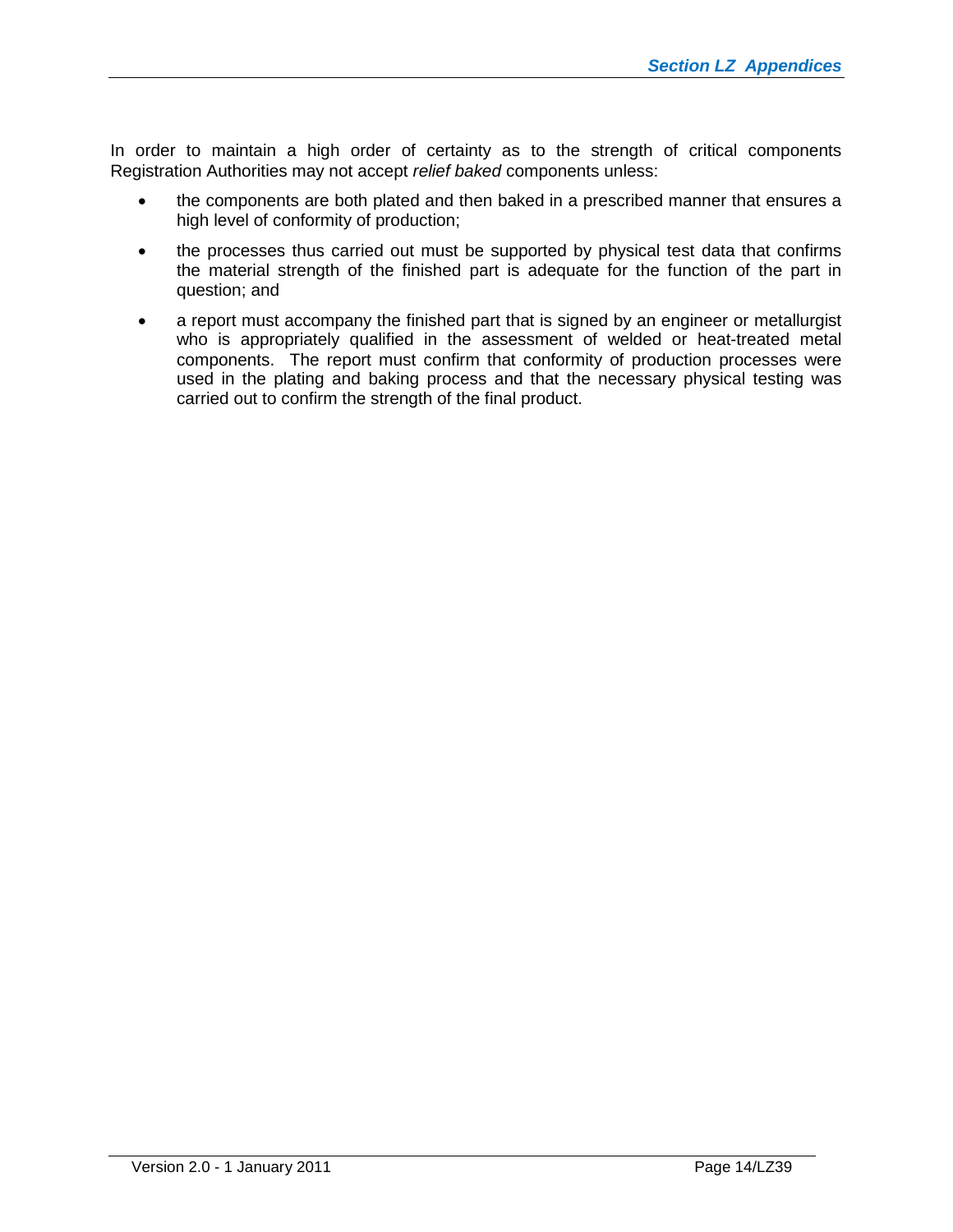In order to maintain a high order of certainty as to the strength of critical components Registration Authorities may not accept *relief baked* components unless:

- the components are both plated and then baked in a prescribed manner that ensures a high level of conformity of production;
- the processes thus carried out must be supported by physical test data that confirms the material strength of the finished part is adequate for the function of the part in question; and
- a report must accompany the finished part that is signed by an engineer or metallurgist who is appropriately qualified in the assessment of welded or heat-treated metal components. The report must confirm that conformity of production processes were used in the plating and baking process and that the necessary physical testing was carried out to confirm the strength of the final product.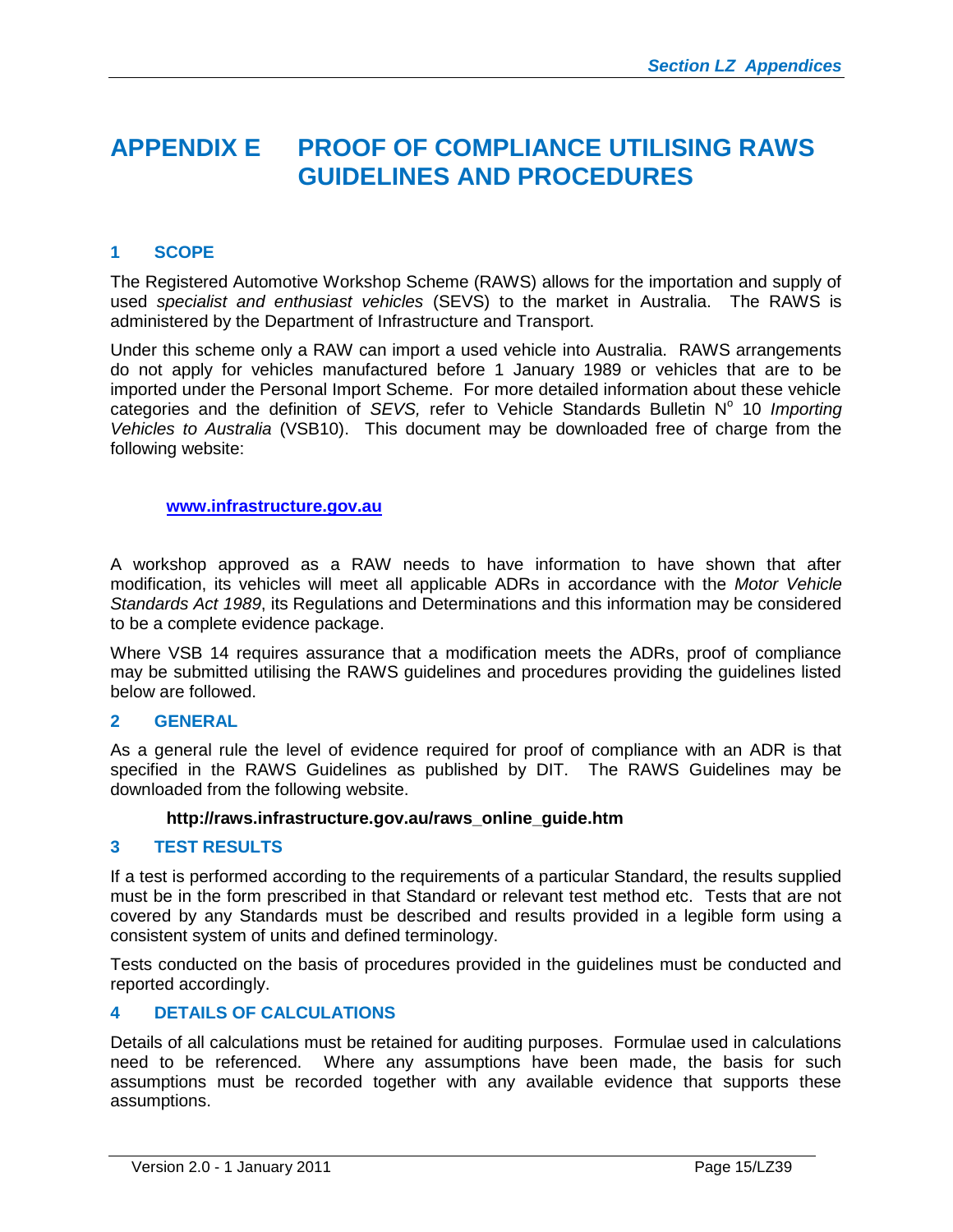# <span id="page-14-0"></span>**APPENDIX E PROOF OF COMPLIANCE UTILISING RAWS GUIDELINES AND PROCEDURES**

# <span id="page-14-1"></span>**1 SCOPE**

The Registered Automotive Workshop Scheme (RAWS) allows for the importation and supply of used *specialist and enthusiast vehicles* (SEVS) to the market in Australia. The RAWS is administered by the Department of Infrastructure and Transport.

Under this scheme only a RAW can import a used vehicle into Australia. RAWS arrangements do not apply for vehicles manufactured before 1 January 1989 or vehicles that are to be imported under the Personal Import Scheme. For more detailed information about these vehicle categoriesand the definition of SEVS, refer to [Vehicle Standards Bulletin N](http://www.infrastructure.gov.au/roads/vehicle_regulation/bulletin/importing_vehicles/index.aspx)° 10 Importing *Vehicles to Australia* (VSB10). This document may be downloaded free of charge from the following website:

#### **[www.infrastructure.gov.au](http://www.infrastructure.gov.au/)**

A workshop approved as a RAW needs to have information to have shown that after modification, its vehicles will meet all applicable ADRs in accordance with the *Motor Vehicle Standards Act 1989*, its Regulations and Determinations and this information may be considered to be a complete evidence package.

Where VSB 14 requires assurance that a modification meets the ADRs, proof of compliance may be submitted utilising the RAWS guidelines and procedures providing the guidelines listed below are followed.

#### <span id="page-14-2"></span>**2 GENERAL**

As a general rule the level of evidence required for proof of compliance with an ADR is that specified in the RAWS Guidelines as published by DIT. The RAWS Guidelines may be downloaded from the following website.

#### **http://raws.infrastructure.gov.au/raws\_online\_guide.htm**

#### <span id="page-14-3"></span>**3 TEST RESULTS**

If a test is performed according to the requirements of a particular Standard, the results supplied must be in the form prescribed in that Standard or relevant test method etc. Tests that are not covered by any Standards must be described and results provided in a legible form using a consistent system of units and defined terminology.

Tests conducted on the basis of procedures provided in the guidelines must be conducted and reported accordingly.

# <span id="page-14-4"></span>**4 DETAILS OF CALCULATIONS**

Details of all calculations must be retained for auditing purposes. Formulae used in calculations need to be referenced. Where any assumptions have been made, the basis for such assumptions must be recorded together with any available evidence that supports these assumptions.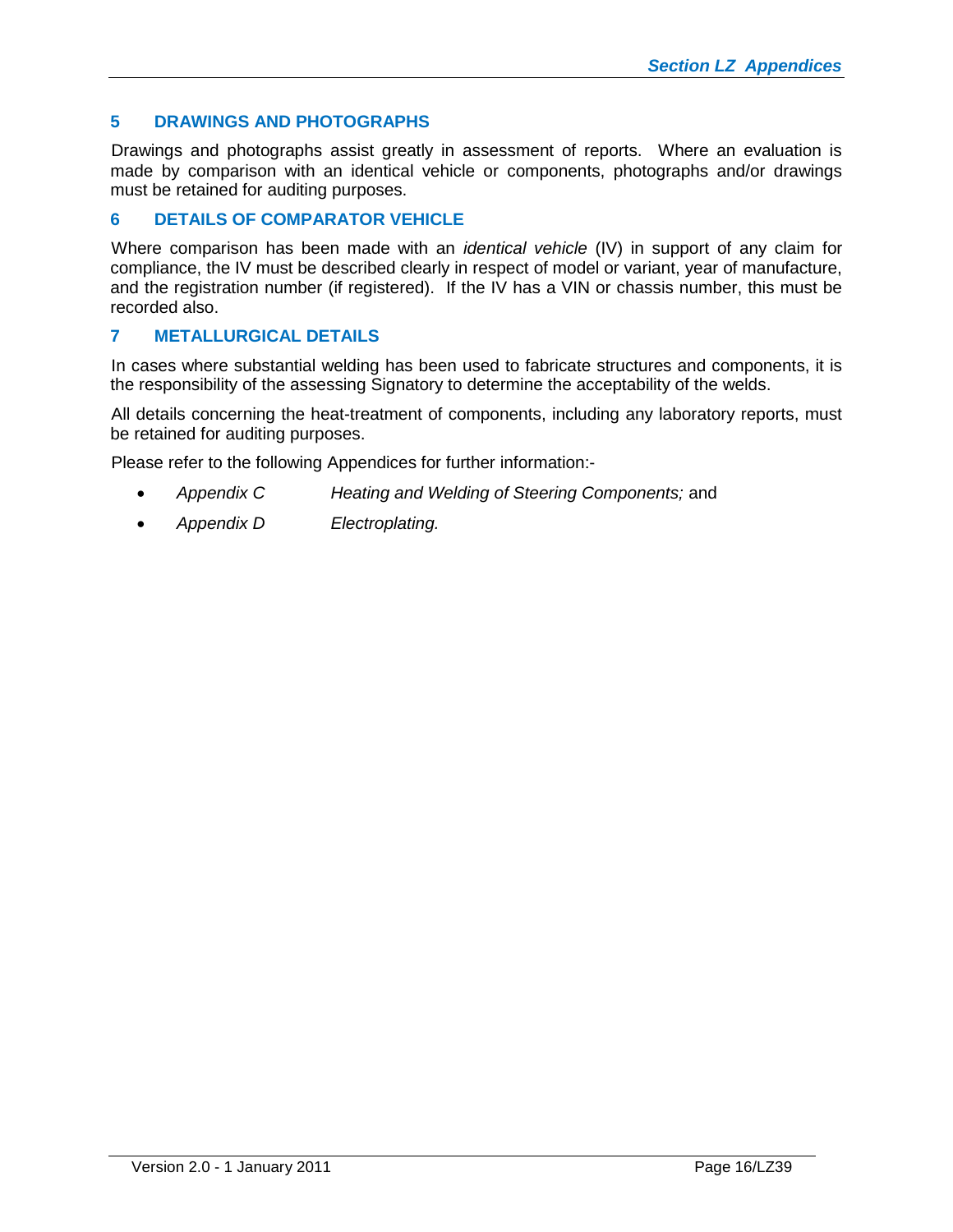# <span id="page-15-0"></span>**5 DRAWINGS AND PHOTOGRAPHS**

Drawings and photographs assist greatly in assessment of reports. Where an evaluation is made by comparison with an identical vehicle or components, photographs and/or drawings must be retained for auditing purposes.

### <span id="page-15-1"></span>**6 DETAILS OF COMPARATOR VEHICLE**

Where comparison has been made with an *identical vehicle* (IV) in support of any claim for compliance, the IV must be described clearly in respect of model or variant, year of manufacture, and the registration number (if registered). If the IV has a VIN or chassis number, this must be recorded also.

# <span id="page-15-2"></span>**7 METALLURGICAL DETAILS**

In cases where substantial welding has been used to fabricate structures and components, it is the responsibility of the assessing Signatory to determine the acceptability of the welds.

All details concerning the heat-treatment of components, including any laboratory reports, must be retained for auditing purposes.

Please refer to the following Appendices for further information:-

- *Appendix C Heating and Welding of Steering Components;* and
- *Appendix D Electroplating.*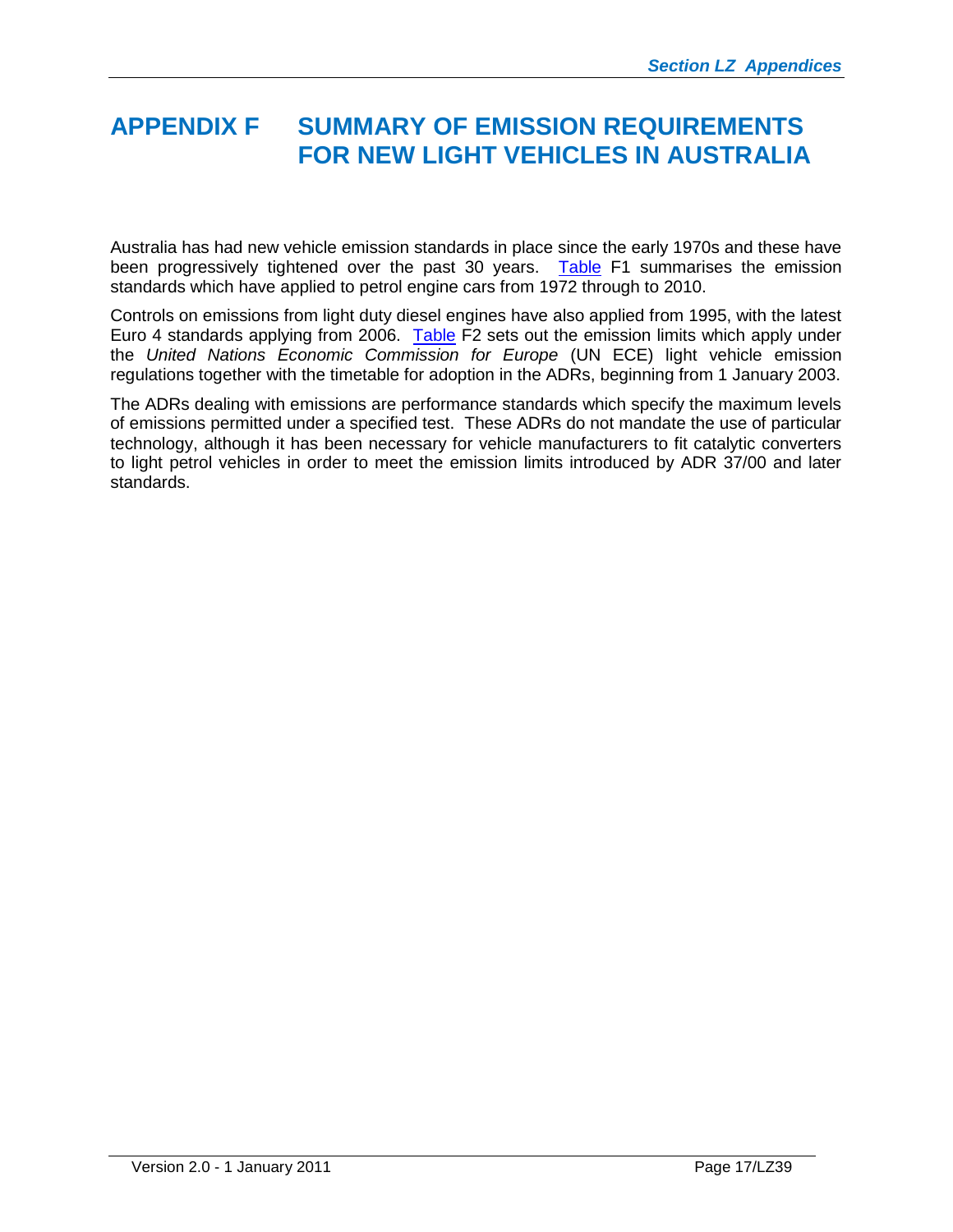# <span id="page-16-0"></span>**APPENDIX F SUMMARY OF EMISSION REQUIREMENTS FOR NEW LIGHT VEHICLES IN AUSTRALIA**

Australia has had new vehicle emission standards in place since the early 1970s and these have been progressively tightened over the past 30 years. [Table](http://www.infrastructure.gov.au/roads/environment/impact/emission.aspx) F1 summarises the emission standards which have applied to petrol engine cars from 1972 through to 2010.

Controls on emissions from light duty diesel engines have also applied from 1995, with the latest Euro 4 standards applying from 2006. [Table](http://www.infrastructure.gov.au/roads/environment/impact/Emission_Limits_for_Light_Vehicles.doc) F2 sets out the emission limits which apply under the *United Nations Economic Commission for Europe* (UN ECE) light vehicle emission regulations together with the timetable for adoption in the ADRs, beginning from 1 January 2003.

The ADRs dealing with emissions are performance standards which specify the maximum levels of emissions permitted under a specified test. These ADRs do not mandate the use of particular technology, although it has been necessary for vehicle manufacturers to fit catalytic converters to light petrol vehicles in order to meet the emission limits introduced by ADR 37/00 and later standards.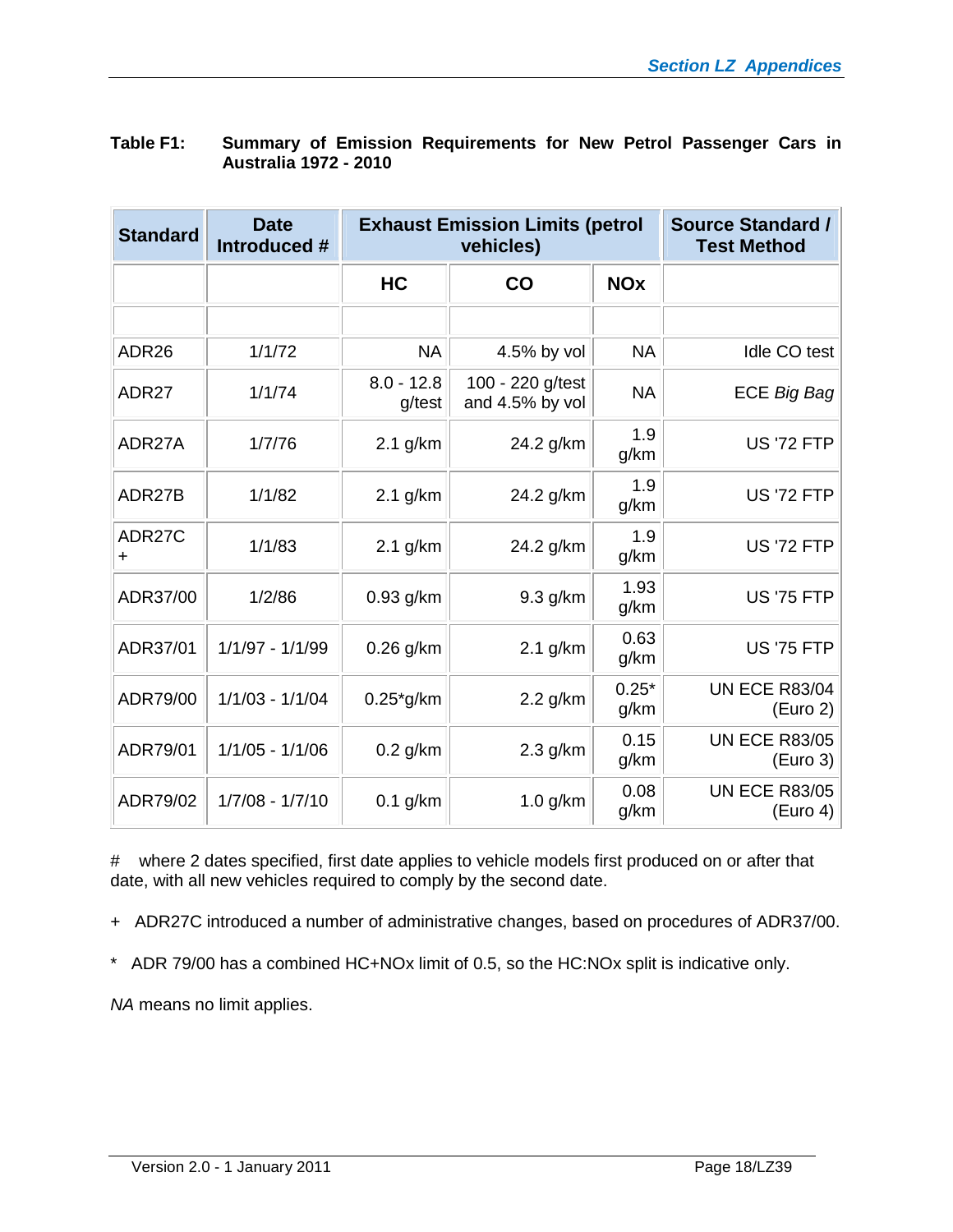| <b>Standard</b>     | <b>Date</b><br>Introduced # |                        | <b>Exhaust Emission Limits (petrol</b><br>vehicles) | <b>Source Standard /</b><br><b>Test Method</b> |                                  |
|---------------------|-----------------------------|------------------------|-----------------------------------------------------|------------------------------------------------|----------------------------------|
|                     |                             | <b>HC</b>              | <b>CO</b>                                           | <b>NOx</b>                                     |                                  |
|                     |                             |                        |                                                     |                                                |                                  |
| ADR <sub>26</sub>   | 1/1/72                      | <b>NA</b>              | 4.5% by vol                                         | <b>NA</b>                                      | Idle CO test                     |
| ADR27               | 1/1/74                      | $8.0 - 12.8$<br>g/test | 100 - 220 g/test<br>and 4.5% by vol                 | <b>NA</b>                                      | <b>ECE Big Bag</b>               |
| ADR27A              | 1/7/76                      | $2.1$ g/km             | 24.2 g/km                                           | 1.9<br>g/km                                    | <b>US '72 FTP</b>                |
| ADR27B              | 1/1/82                      | $2.1$ g/km             | 24.2 g/km                                           | 1.9<br>g/km                                    | <b>US '72 FTP</b>                |
| ADR27C<br>$\ddot{}$ | 1/1/83                      | $2.1$ g/km             | 24.2 g/km                                           | 1.9<br>g/km                                    | <b>US '72 FTP</b>                |
| ADR37/00            | 1/2/86                      | 0.93 g/km              | 9.3 g/km                                            | 1.93<br>g/km                                   | <b>US '75 FTP</b>                |
| ADR37/01            | $1/1/97 - 1/1/99$           | $0.26$ g/km            | $2.1$ g/km                                          | 0.63<br>g/km                                   | <b>US '75 FTP</b>                |
| ADR79/00            | $1/1/03 - 1/1/04$           | $0.25$ *g/km           | 2.2 g/km                                            | $0.25*$<br>g/km                                | <b>UN ECE R83/04</b><br>(Euro 2) |
| ADR79/01            | $1/1/05 - 1/1/06$           | $0.2$ g/km             | $2.3$ g/km                                          | 0.15<br>g/km                                   | <b>UN ECE R83/05</b><br>(Euro 3) |
| ADR79/02            | $1/7/08 - 1/7/10$           | $0.1$ g/km             | $1.0$ g/km                                          | 0.08<br>g/km                                   | <b>UN ECE R83/05</b><br>(Euro 4) |

| Table F1: | Summary of Emission Requirements for New Petrol Passenger Cars in |  |
|-----------|-------------------------------------------------------------------|--|
|           | <b>Australia 1972 - 2010</b>                                      |  |

# where 2 dates specified, first date applies to vehicle models first produced on or after that date, with all new vehicles required to comply by the second date.

+ ADR27C introduced a number of administrative changes, based on procedures of ADR37/00.

\* ADR 79/00 has a combined HC+NOx limit of 0.5, so the HC:NOx split is indicative only.

*NA* means no limit applies.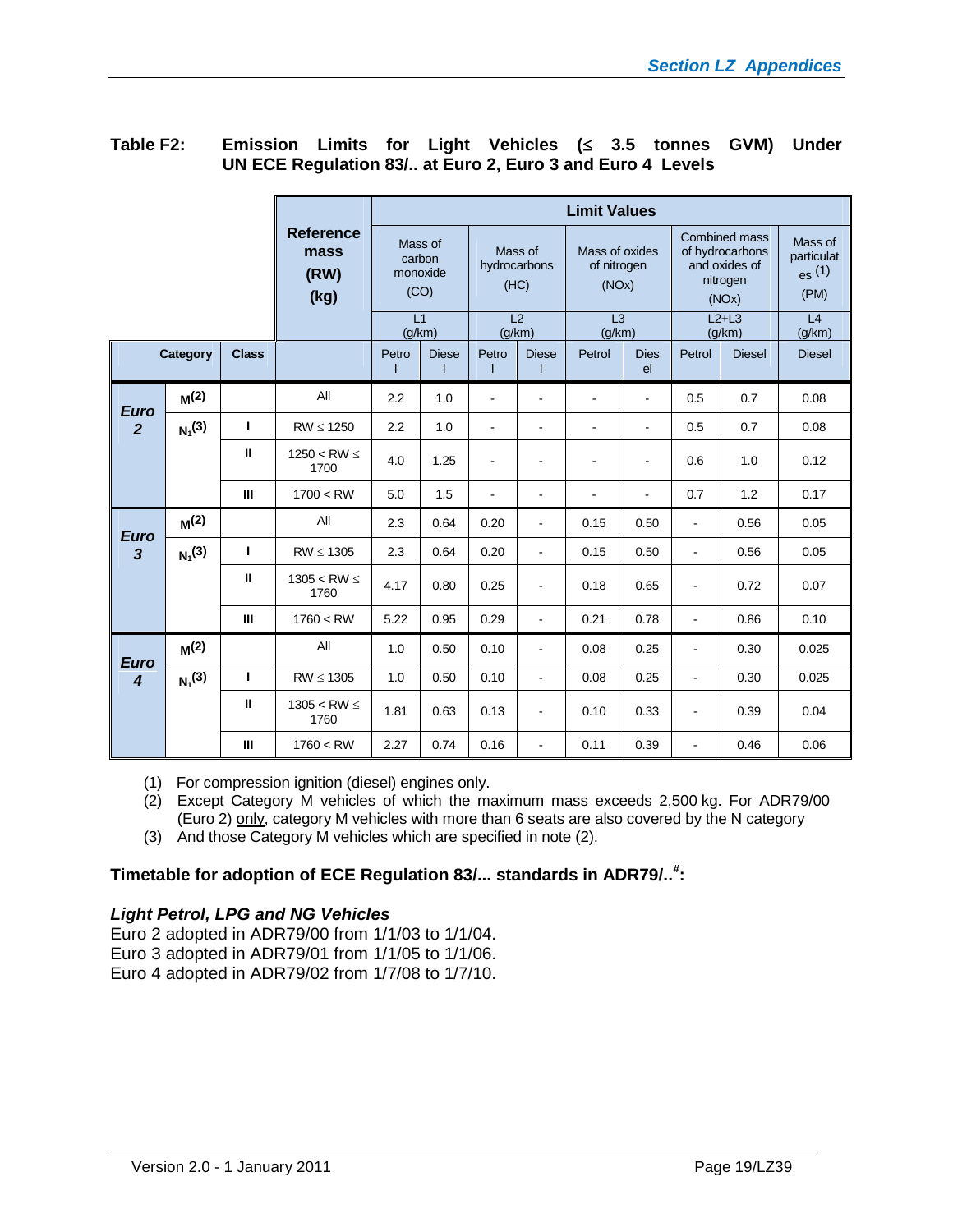|                  |                  |              | <b>Limit Values</b>                      |                                       |              |                                 |                          |                                        |                          |                                                                               |               |                                        |
|------------------|------------------|--------------|------------------------------------------|---------------------------------------|--------------|---------------------------------|--------------------------|----------------------------------------|--------------------------|-------------------------------------------------------------------------------|---------------|----------------------------------------|
|                  |                  |              | <b>Reference</b><br>mass<br>(RW)<br>(kg) | Mass of<br>carbon<br>monoxide<br>(CO) |              | Mass of<br>hydrocarbons<br>(HC) |                          | Mass of oxides<br>of nitrogen<br>(NOx) |                          | <b>Combined mass</b><br>of hydrocarbons<br>and oxides of<br>nitrogen<br>(NOx) |               | Mass of<br>particulat<br>es(1)<br>(PM) |
|                  |                  |              |                                          | L1<br>(q/km)                          |              | L2<br>(q/km)                    |                          | $\overline{L3}$<br>(q/km)              |                          | $L2+L3$<br>(q/km)                                                             |               | L <sub>4</sub><br>(g/km)               |
|                  | Category         | <b>Class</b> |                                          | Petro                                 | <b>Diese</b> | Petro                           | <b>Diese</b>             | Petrol                                 | <b>Dies</b><br>el        | Petrol                                                                        | <b>Diesel</b> | <b>Diesel</b>                          |
| <b>Euro</b>      | $M^{(2)}$        |              | All                                      | 2.2                                   | 1.0          | ÷.                              | $\sim$                   | $\blacksquare$                         | $\blacksquare$           | 0.5                                                                           | 0.7           | 0.08                                   |
| $\overline{2}$   | $N_1^{(3)}$      | L            | $RW \leq 1250$                           | 2.2                                   | 1.0          | ۰                               | $\overline{\phantom{a}}$ | $\overline{\phantom{a}}$               | $\blacksquare$           | 0.5                                                                           | 0.7           | 0.08                                   |
|                  |                  | Ш            | $1250 < RW \leq$<br>1700                 | 4.0                                   | 1.25         | $\overline{\phantom{a}}$        | $\overline{\phantom{a}}$ | $\blacksquare$                         | $\blacksquare$           | 0.6                                                                           | 1.0           | 0.12                                   |
|                  |                  | $\mathbf{H}$ | 1700 < RW                                | 5.0                                   | 1.5          | ٠                               | $\blacksquare$           | L,                                     | $\overline{\phantom{a}}$ | 0.7                                                                           | 1.2           | 0.17                                   |
| <b>Euro</b>      | M <sup>(2)</sup> |              | All                                      | 2.3                                   | 0.64         | 0.20                            | $\blacksquare$           | 0.15                                   | 0.50                     | $\blacksquare$                                                                | 0.56          | 0.05                                   |
| $\overline{3}$   | $N_1^{(3)}$      | Т            | $RW \leq 1305$                           | 2.3                                   | 0.64         | 0.20                            | $\blacksquare$           | 0.15                                   | 0.50                     | $\overline{\phantom{a}}$                                                      | 0.56          | 0.05                                   |
|                  |                  | Ш            | 1305 < RW $\leq$<br>1760                 | 4.17                                  | 0.80         | 0.25                            | $\blacksquare$           | 0.18                                   | 0.65                     | ÷                                                                             | 0.72          | 0.07                                   |
|                  |                  | $\mathbf{m}$ | 1760 < RW                                | 5.22                                  | 0.95         | 0.29                            | $\blacksquare$           | 0.21                                   | 0.78                     | $\blacksquare$                                                                | 0.86          | 0.10                                   |
| <b>Euro</b>      | M <sup>(2)</sup> |              | All                                      | 1.0                                   | 0.50         | 0.10                            | $\blacksquare$           | 0.08                                   | 0.25                     | ä,                                                                            | 0.30          | 0.025                                  |
| $\boldsymbol{A}$ | $N_1^{(3)}$      | L            | $RW \leq 1305$                           | 1.0                                   | 0.50         | 0.10                            | $\overline{\phantom{a}}$ | 0.08                                   | 0.25                     | ÷,                                                                            | 0.30          | 0.025                                  |
|                  |                  | Ш            | $1305 < RW \leq$<br>1760                 | 1.81                                  | 0.63         | 0.13                            | $\blacksquare$           | 0.10                                   | 0.33                     | $\blacksquare$                                                                | 0.39          | 0.04                                   |
|                  |                  | $\mathbf{H}$ | 1760 < RW                                | 2.27                                  | 0.74         | 0.16                            | $\blacksquare$           | 0.11                                   | 0.39                     | ÷                                                                             | 0.46          | 0.06                                   |

# Table F2: Emission Limits for Light Vehicles (< 3.5 tonnes GVM) Under **UN ECE Regulation 83/.. at Euro 2, Euro 3 and Euro 4 Levels**

(1) For compression ignition (diesel) engines only.

(2) Except Category M vehicles of which the maximum mass exceeds 2,500 kg. For ADR79/00 (Euro 2) only, category M vehicles with more than 6 seats are also covered by the N category

(3) And those Category M vehicles which are specified in note (2).

### **Timetable for adoption of ECE Regulation 83/... standards in ADR79/..# :**

#### *Light Petrol, LPG and NG Vehicles*

Euro 2 adopted in ADR79/00 from 1/1/03 to 1/1/04. Euro 3 adopted in ADR79/01 from 1/1/05 to 1/1/06. Euro 4 adopted in ADR79/02 from 1/7/08 to 1/7/10.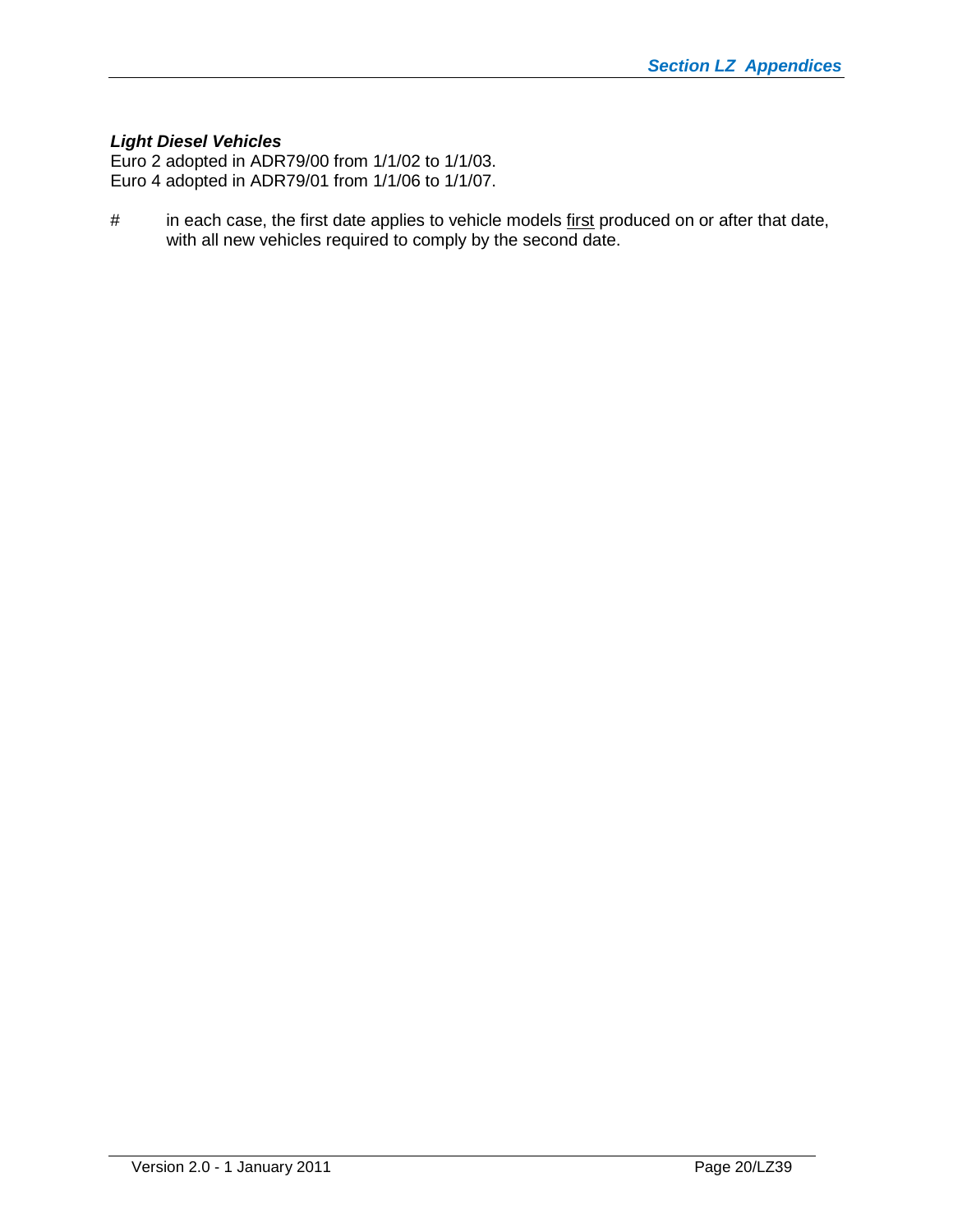# *Light Diesel Vehicles*

Euro 2 adopted in ADR79/00 from 1/1/02 to 1/1/03. Euro 4 adopted in ADR79/01 from 1/1/06 to 1/1/07.

# in each case, the first date applies to vehicle models first produced on or after that date, with all new vehicles required to comply by the second date.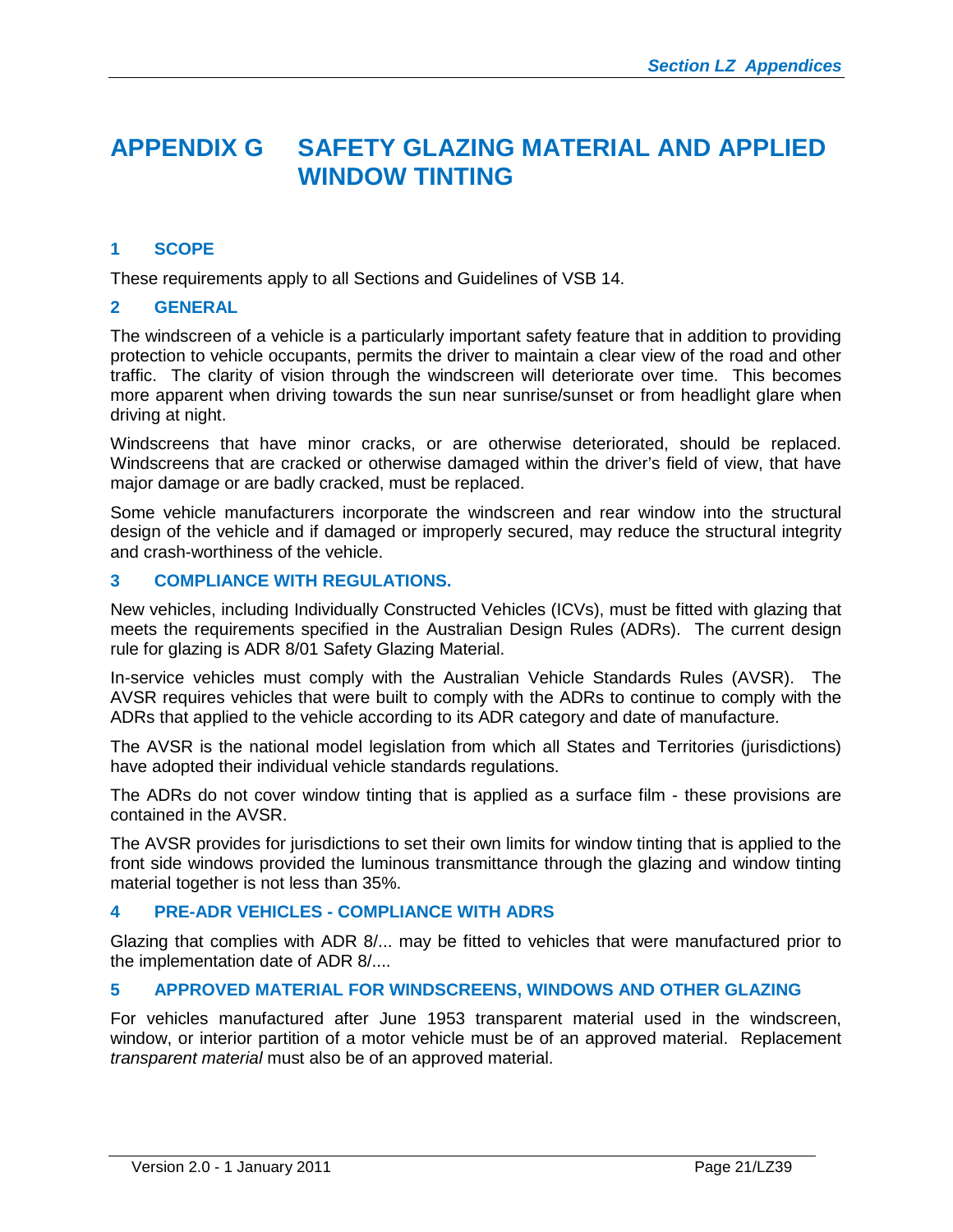# <span id="page-20-0"></span>**APPENDIX G SAFETY GLAZING MATERIAL AND APPLIED WINDOW TINTING**

# <span id="page-20-1"></span>**1 SCOPE**

These requirements apply to all Sections and Guidelines of VSB 14.

# <span id="page-20-2"></span>**2 GENERAL**

The windscreen of a vehicle is a particularly important safety feature that in addition to providing protection to vehicle occupants, permits the driver to maintain a clear view of the road and other traffic. The clarity of vision through the windscreen will deteriorate over time. This becomes more apparent when driving towards the sun near sunrise/sunset or from headlight glare when driving at night.

Windscreens that have minor cracks, or are otherwise deteriorated, should be replaced. Windscreens that are cracked or otherwise damaged within the driver's field of view, that have major damage or are badly cracked, must be replaced.

Some vehicle manufacturers incorporate the windscreen and rear window into the structural design of the vehicle and if damaged or improperly secured, may reduce the structural integrity and crash-worthiness of the vehicle.

# <span id="page-20-3"></span>**3 COMPLIANCE WITH REGULATIONS.**

New vehicles, including Individually Constructed Vehicles (ICVs), must be fitted with glazing that meets the requirements specified in the Australian Design Rules (ADRs). The current design rule for glazing is ADR 8/01 Safety Glazing Material.

In-service vehicles must comply with the Australian Vehicle Standards Rules (AVSR). The AVSR requires vehicles that were built to comply with the ADRs to continue to comply with the ADRs that applied to the vehicle according to its ADR category and date of manufacture.

The AVSR is the national model legislation from which all States and Territories (jurisdictions) have adopted their individual vehicle standards regulations.

The ADRs do not cover window tinting that is applied as a surface film - these provisions are contained in the AVSR.

The AVSR provides for jurisdictions to set their own limits for window tinting that is applied to the front side windows provided the luminous transmittance through the glazing and window tinting material together is not less than 35%.

#### <span id="page-20-4"></span>**4 PRE-ADR VEHICLES - COMPLIANCE WITH ADRS**

Glazing that complies with ADR 8/... may be fitted to vehicles that were manufactured prior to the implementation date of ADR 8/....

#### <span id="page-20-5"></span>**5 APPROVED MATERIAL FOR WINDSCREENS, WINDOWS AND OTHER GLAZING**

For vehicles manufactured after June 1953 transparent material used in the windscreen, window, or interior partition of a motor vehicle must be of an approved material. Replacement *transparent material* must also be of an approved material.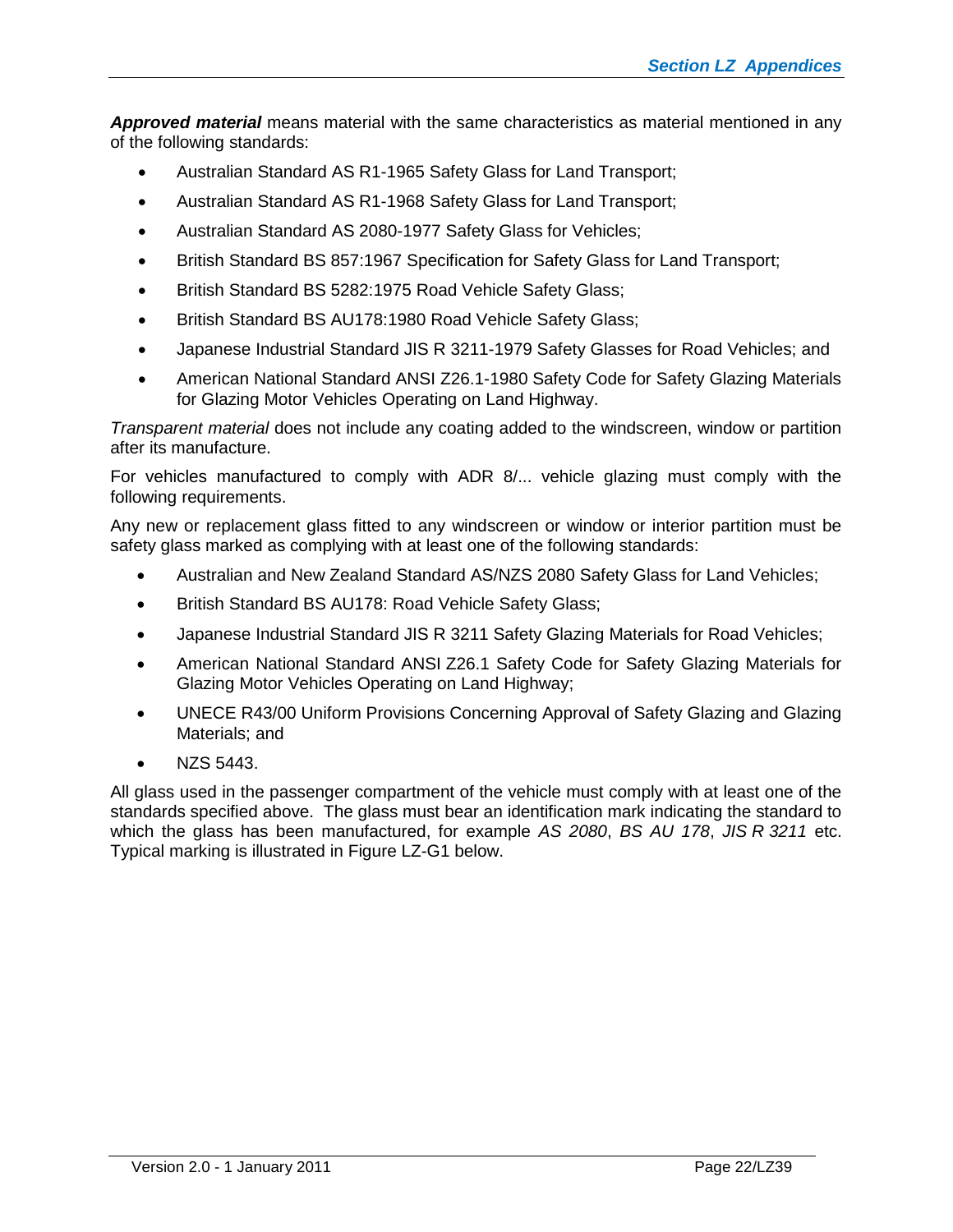*Approved material* means material with the same characteristics as material mentioned in any of the following standards:

- Australian Standard AS R1-1965 Safety Glass for Land Transport;
- Australian Standard AS R1-1968 Safety Glass for Land Transport;
- Australian Standard AS 2080-1977 Safety Glass for Vehicles;
- British Standard BS 857:1967 Specification for Safety Glass for Land Transport;
- British Standard BS 5282:1975 Road Vehicle Safety Glass;
- British Standard BS AU178:1980 Road Vehicle Safety Glass;
- Japanese Industrial Standard JIS R 3211-1979 Safety Glasses for Road Vehicles; and
- American National Standard ANSI Z26.1-1980 Safety Code for Safety Glazing Materials for Glazing Motor Vehicles Operating on Land Highway.

*Transparent material* does not include any coating added to the windscreen, window or partition after its manufacture.

For vehicles manufactured to comply with ADR 8/... vehicle glazing must comply with the following requirements.

Any new or replacement glass fitted to any windscreen or window or interior partition must be safety glass marked as complying with at least one of the following standards:

- Australian and New Zealand Standard AS/NZS 2080 Safety Glass for Land Vehicles;
- British Standard BS AU178: Road Vehicle Safety Glass;
- Japanese Industrial Standard JIS R 3211 Safety Glazing Materials for Road Vehicles;
- American National Standard ANSI Z26.1 Safety Code for Safety Glazing Materials for Glazing Motor Vehicles Operating on Land Highway;
- UNECE R43/00 Uniform Provisions Concerning Approval of Safety Glazing and Glazing Materials; and
- NZS 5443.

All glass used in the passenger compartment of the vehicle must comply with at least one of the standards specified above. The glass must bear an identification mark indicating the standard to which the glass has been manufactured, for example *AS 2080*, *BS AU 178*, *JIS R 3211* etc. Typical marking is illustrated in Figure LZ-G1 below.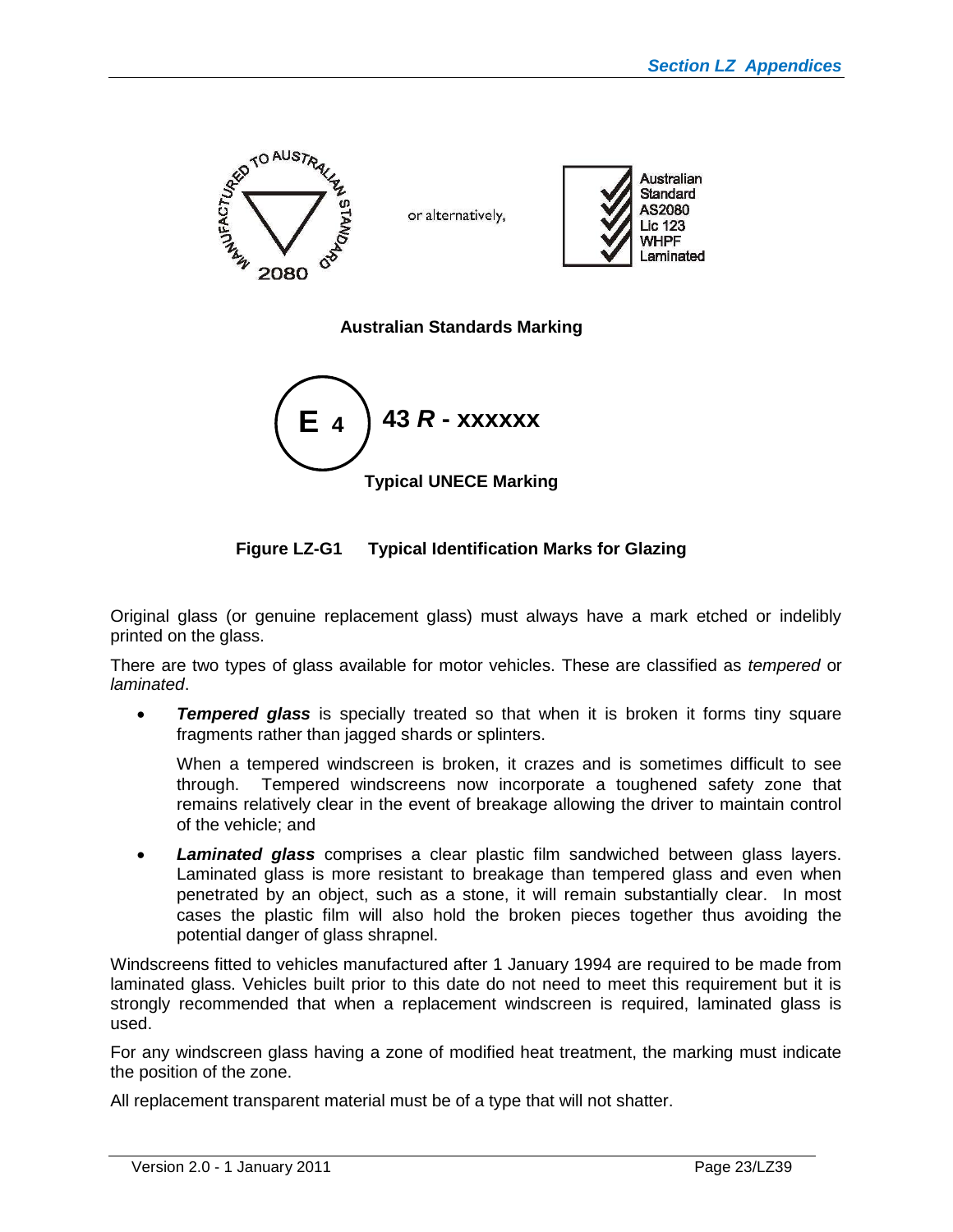

**Australian Standards Marking**



**Figure LZ-G1 Typical Identification Marks for Glazing**

Original glass (or genuine replacement glass) must always have a mark etched or indelibly printed on the glass.

There are two types of glass available for motor vehicles. These are classified as *tempered* or *laminated*.

**Tempered glass** is specially treated so that when it is broken it forms tiny square fragments rather than jagged shards or splinters.

When a tempered windscreen is broken, it crazes and is sometimes difficult to see through. Tempered windscreens now incorporate a toughened safety zone that remains relatively clear in the event of breakage allowing the driver to maintain control of the vehicle; and

 *Laminated glass* comprises a clear plastic film sandwiched between glass layers. Laminated glass is more resistant to breakage than tempered glass and even when penetrated by an object, such as a stone, it will remain substantially clear. In most cases the plastic film will also hold the broken pieces together thus avoiding the potential danger of glass shrapnel.

Windscreens fitted to vehicles manufactured after 1 January 1994 are required to be made from laminated glass. Vehicles built prior to this date do not need to meet this requirement but it is strongly recommended that when a replacement windscreen is required, laminated glass is used.

For any windscreen glass having a zone of modified heat treatment, the marking must indicate the position of the zone.

All replacement transparent material must be of a type that will not shatter.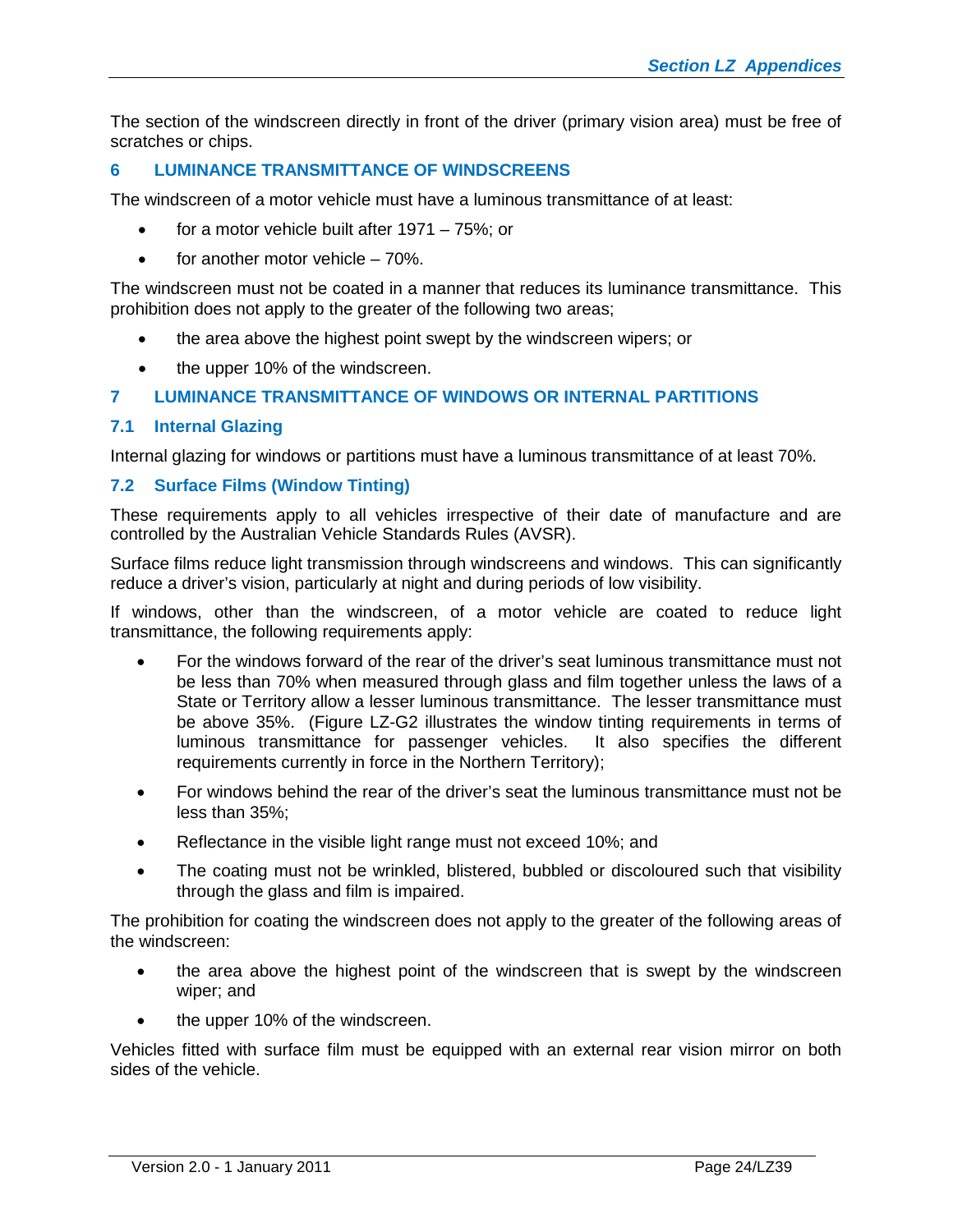The section of the windscreen directly in front of the driver (primary vision area) must be free of scratches or chips.

# <span id="page-23-0"></span>**6 LUMINANCE TRANSMITTANCE OF WINDSCREENS**

The windscreen of a motor vehicle must have a luminous transmittance of at least:

- for a motor vehicle built after 1971 75%; or
- $\bullet$  for another motor vehicle 70%.

The windscreen must not be coated in a manner that reduces its luminance transmittance. This prohibition does not apply to the greater of the following two areas;

- the area above the highest point swept by the windscreen wipers; or
- the upper 10% of the windscreen.

# <span id="page-23-1"></span>**7 LUMINANCE TRANSMITTANCE OF WINDOWS OR INTERNAL PARTITIONS**

# **7.1 Internal Glazing**

Internal glazing for windows or partitions must have a luminous transmittance of at least 70%.

#### **7.2 Surface Films (Window Tinting)**

These requirements apply to all vehicles irrespective of their date of manufacture and are controlled by the Australian Vehicle Standards Rules (AVSR).

Surface films reduce light transmission through windscreens and windows. This can significantly reduce a driver's vision, particularly at night and during periods of low visibility.

If windows, other than the windscreen, of a motor vehicle are coated to reduce light transmittance, the following requirements apply:

- For the windows forward of the rear of the driver's seat luminous transmittance must not be less than 70% when measured through glass and film together unless the laws of a State or Territory allow a lesser luminous transmittance. The lesser transmittance must be above 35%. (Figure LZ-G2 illustrates the window tinting requirements in terms of luminous transmittance for passenger vehicles. It also specifies the different requirements currently in force in the Northern Territory);
- For windows behind the rear of the driver's seat the luminous transmittance must not be less than 35%;
- Reflectance in the visible light range must not exceed 10%; and
- The coating must not be wrinkled, blistered, bubbled or discoloured such that visibility through the glass and film is impaired.

The prohibition for coating the windscreen does not apply to the greater of the following areas of the windscreen:

- the area above the highest point of the windscreen that is swept by the windscreen wiper; and
- the upper 10% of the windscreen.

Vehicles fitted with surface film must be equipped with an external rear vision mirror on both sides of the vehicle.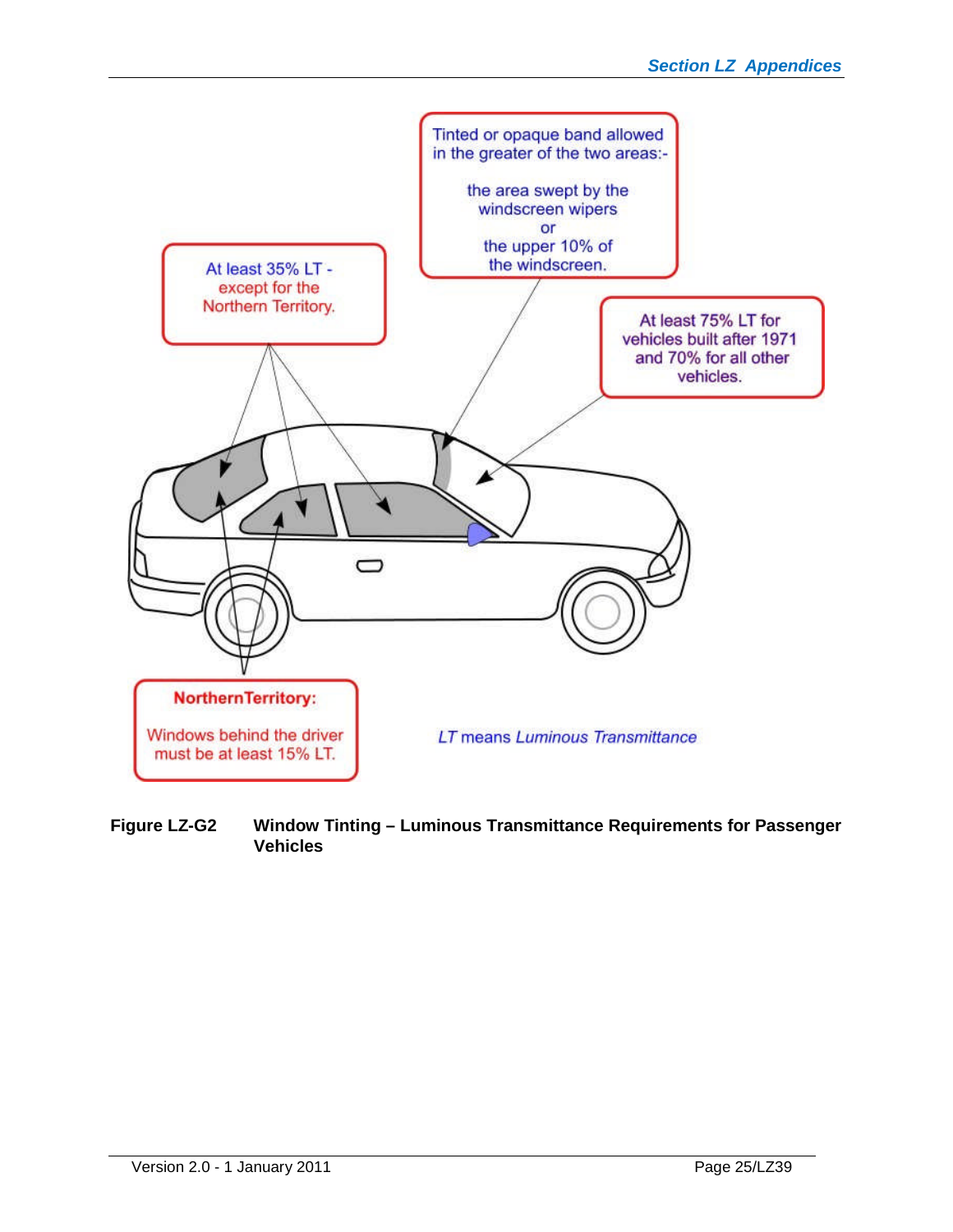

**Figure LZ-G2 Window Tinting – Luminous Transmittance Requirements for Passenger Vehicles**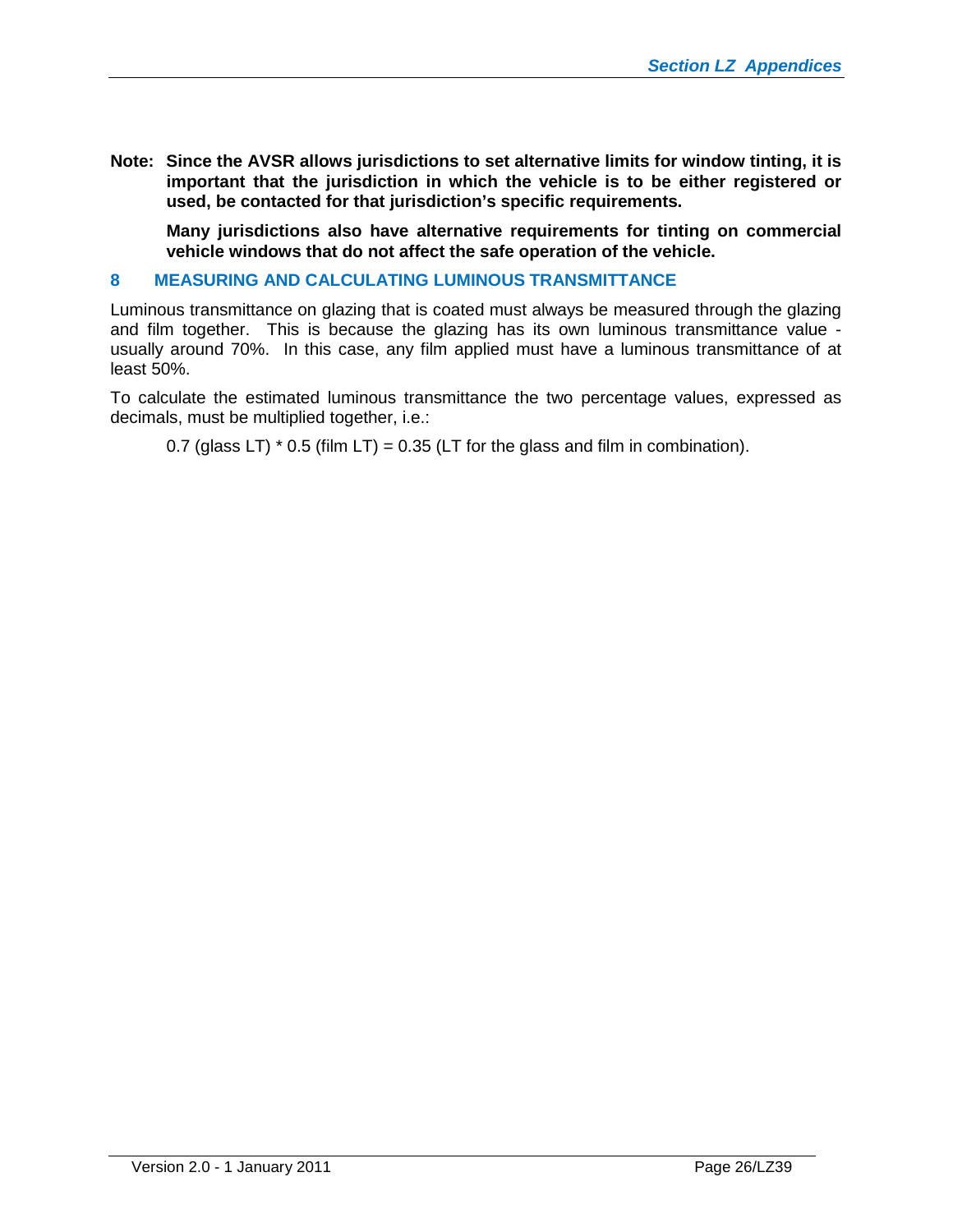**Note: Since the AVSR allows jurisdictions to set alternative limits for window tinting, it is important that the jurisdiction in which the vehicle is to be either registered or used, be contacted for that jurisdiction's specific requirements.**

**Many jurisdictions also have alternative requirements for tinting on commercial vehicle windows that do not affect the safe operation of the vehicle.**

#### <span id="page-25-0"></span>**8 MEASURING AND CALCULATING LUMINOUS TRANSMITTANCE**

Luminous transmittance on glazing that is coated must always be measured through the glazing and film together. This is because the glazing has its own luminous transmittance value usually around 70%. In this case, any film applied must have a luminous transmittance of at least 50%.

To calculate the estimated luminous transmittance the two percentage values, expressed as decimals, must be multiplied together, i.e.:

0.7 (glass LT)  $*$  0.5 (film LT) = 0.35 (LT for the glass and film in combination).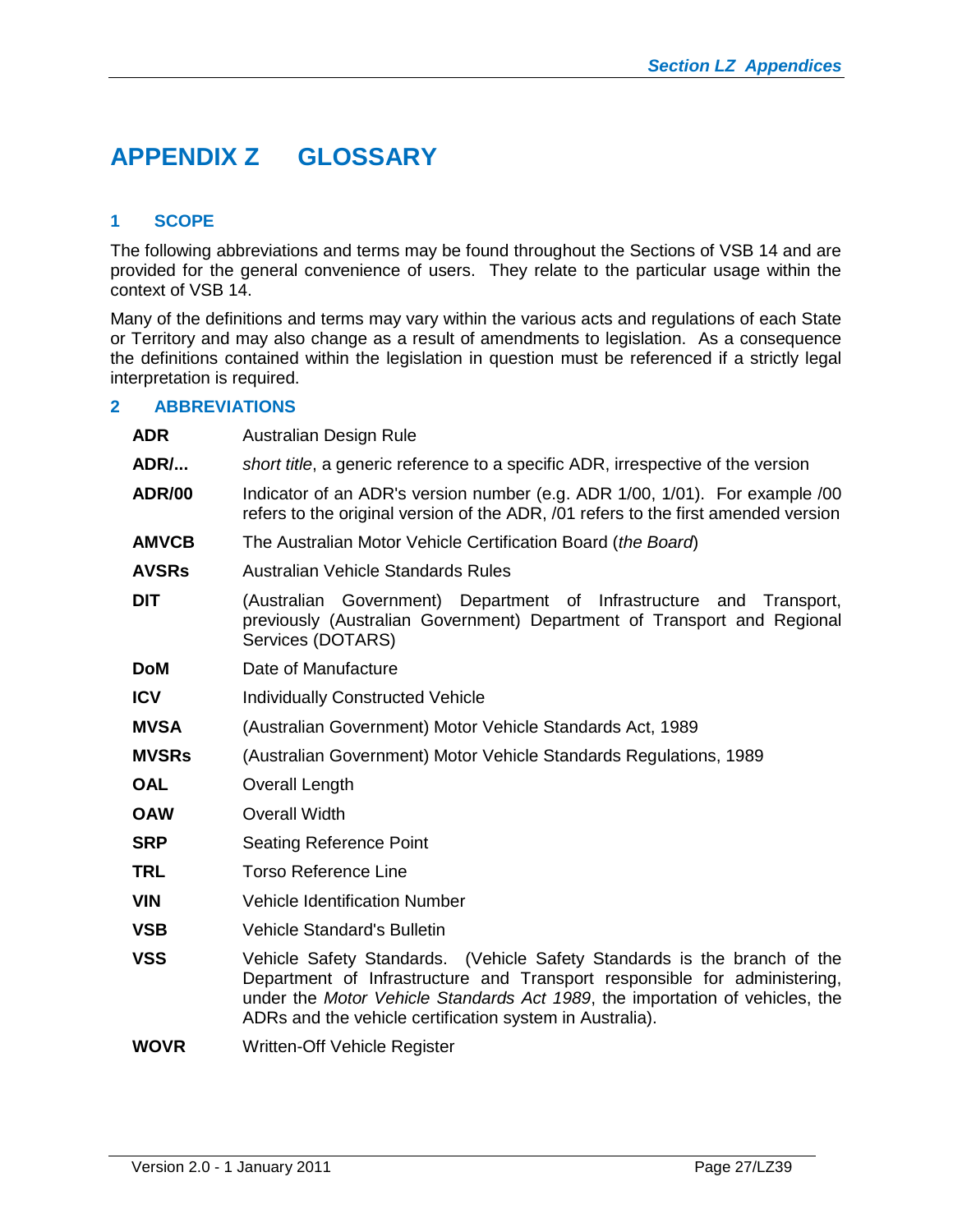# <span id="page-26-0"></span>**APPENDIX Z GLOSSARY**

# <span id="page-26-1"></span>**1 SCOPE**

The following abbreviations and terms may be found throughout the Sections of VSB 14 and are provided for the general convenience of users. They relate to the particular usage within the context of VSB 14.

Many of the definitions and terms may vary within the various acts and regulations of each State or Territory and may also change as a result of amendments to legislation. As a consequence the definitions contained within the legislation in question must be referenced if a strictly legal interpretation is required.

#### <span id="page-26-2"></span>**2 ABBREVIATIONS**

| <b>ADR</b>    | Australian Design Rule                                                                                                                                                                                                                                                                            |  |  |  |  |
|---------------|---------------------------------------------------------------------------------------------------------------------------------------------------------------------------------------------------------------------------------------------------------------------------------------------------|--|--|--|--|
| <b>ADR/</b>   | short title, a generic reference to a specific ADR, irrespective of the version                                                                                                                                                                                                                   |  |  |  |  |
| <b>ADR/00</b> | Indicator of an ADR's version number (e.g. ADR 1/00, 1/01). For example /00<br>refers to the original version of the ADR, /01 refers to the first amended version                                                                                                                                 |  |  |  |  |
| <b>AMVCB</b>  | The Australian Motor Vehicle Certification Board (the Board)                                                                                                                                                                                                                                      |  |  |  |  |
| <b>AVSRs</b>  | Australian Vehicle Standards Rules                                                                                                                                                                                                                                                                |  |  |  |  |
| <b>DIT</b>    | (Australian Government) Department of Infrastructure<br>and<br>Transport,<br>previously (Australian Government) Department of Transport and Regional<br>Services (DOTARS)                                                                                                                         |  |  |  |  |
| DoM           | Date of Manufacture                                                                                                                                                                                                                                                                               |  |  |  |  |
| ICV           | <b>Individually Constructed Vehicle</b>                                                                                                                                                                                                                                                           |  |  |  |  |
| MVSA          | (Australian Government) Motor Vehicle Standards Act, 1989                                                                                                                                                                                                                                         |  |  |  |  |
| <b>MVSRs</b>  | (Australian Government) Motor Vehicle Standards Regulations, 1989                                                                                                                                                                                                                                 |  |  |  |  |
| <b>OAL</b>    | <b>Overall Length</b>                                                                                                                                                                                                                                                                             |  |  |  |  |
| <b>OAW</b>    | <b>Overall Width</b>                                                                                                                                                                                                                                                                              |  |  |  |  |
| <b>SRP</b>    | <b>Seating Reference Point</b>                                                                                                                                                                                                                                                                    |  |  |  |  |
| TRL           | <b>Torso Reference Line</b>                                                                                                                                                                                                                                                                       |  |  |  |  |
| <b>VIN</b>    | <b>Vehicle Identification Number</b>                                                                                                                                                                                                                                                              |  |  |  |  |
| VSB           | <b>Vehicle Standard's Bulletin</b>                                                                                                                                                                                                                                                                |  |  |  |  |
| <b>VSS</b>    | Vehicle Safety Standards. (Vehicle Safety Standards is the branch of the<br>Department of Infrastructure and Transport responsible for administering,<br>under the Motor Vehicle Standards Act 1989, the importation of vehicles, the<br>ADRs and the vehicle certification system in Australia). |  |  |  |  |
| WOVR          | Written-Off Vehicle Register                                                                                                                                                                                                                                                                      |  |  |  |  |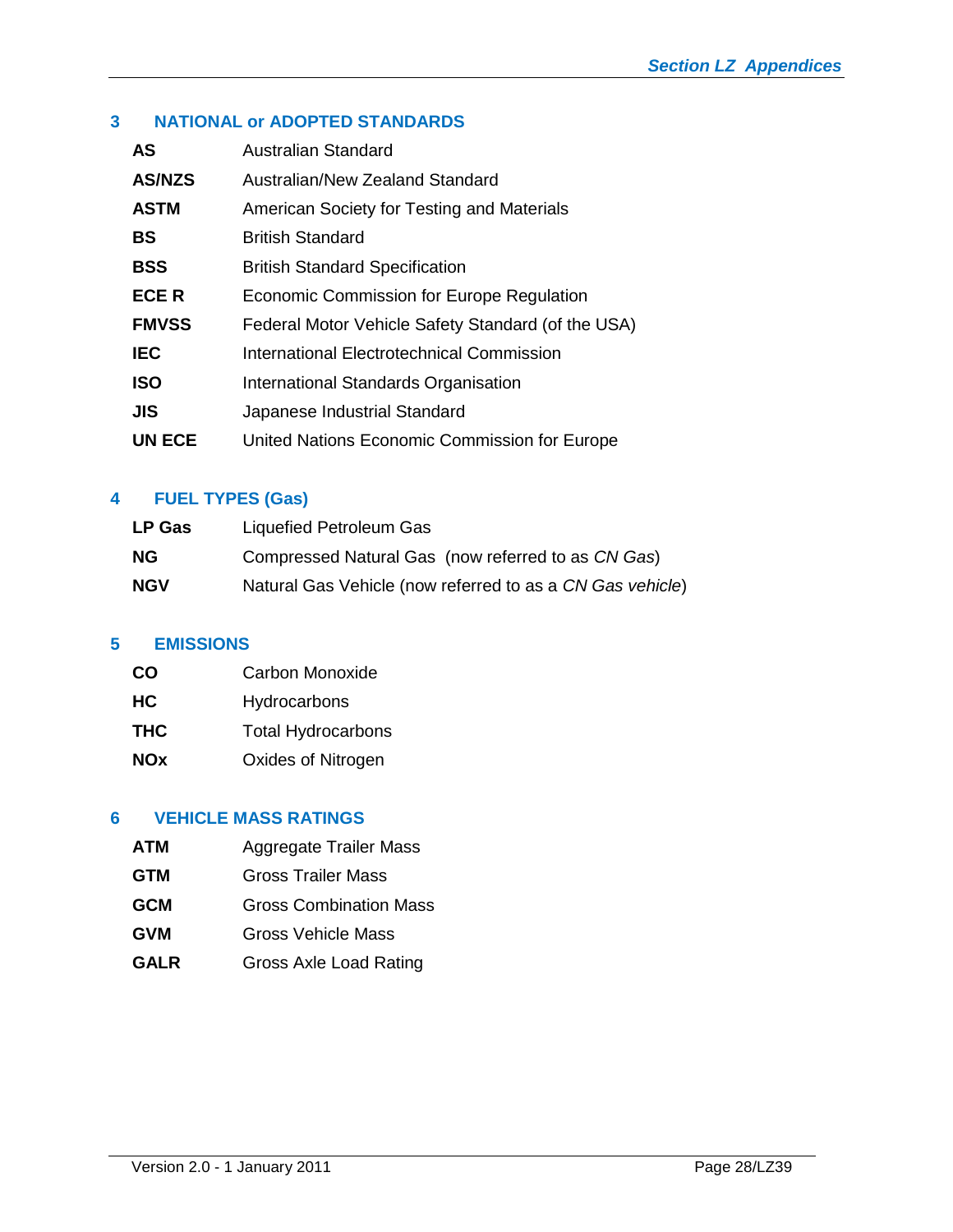# <span id="page-27-0"></span>**3 NATIONAL or ADOPTED STANDARDS**

| Australian Standard                                |
|----------------------------------------------------|
| Australian/New Zealand Standard                    |
| American Society for Testing and Materials         |
| <b>British Standard</b>                            |
| <b>British Standard Specification</b>              |
| Economic Commission for Europe Regulation          |
| Federal Motor Vehicle Safety Standard (of the USA) |
| International Electrotechnical Commission          |
| International Standards Organisation               |
| Japanese Industrial Standard                       |
| United Nations Economic Commission for Europe      |
|                                                    |

# <span id="page-27-1"></span>**4 FUEL TYPES (Gas)**

| <b>LP Gas</b> | Liquefied Petroleum Gas                                   |
|---------------|-----------------------------------------------------------|
| <b>NG</b>     | Compressed Natural Gas (now referred to as CN Gas)        |
| <b>NGV</b>    | Natural Gas Vehicle (now referred to as a CN Gas vehicle) |

# <span id="page-27-2"></span>**5 EMISSIONS**

| <b>CO</b>  | Carbon Monoxide           |
|------------|---------------------------|
| <b>HC</b>  | Hydrocarbons              |
| <b>THC</b> | <b>Total Hydrocarbons</b> |
| <b>NOx</b> | Oxides of Nitrogen        |

# <span id="page-27-3"></span>**6 VEHICLE MASS RATINGS**

- **ATM** Aggregate Trailer Mass
- **GTM** Gross Trailer Mass
- **GCM** Gross Combination Mass
- **GVM** Gross Vehicle Mass
- GALR Gross Axle Load Rating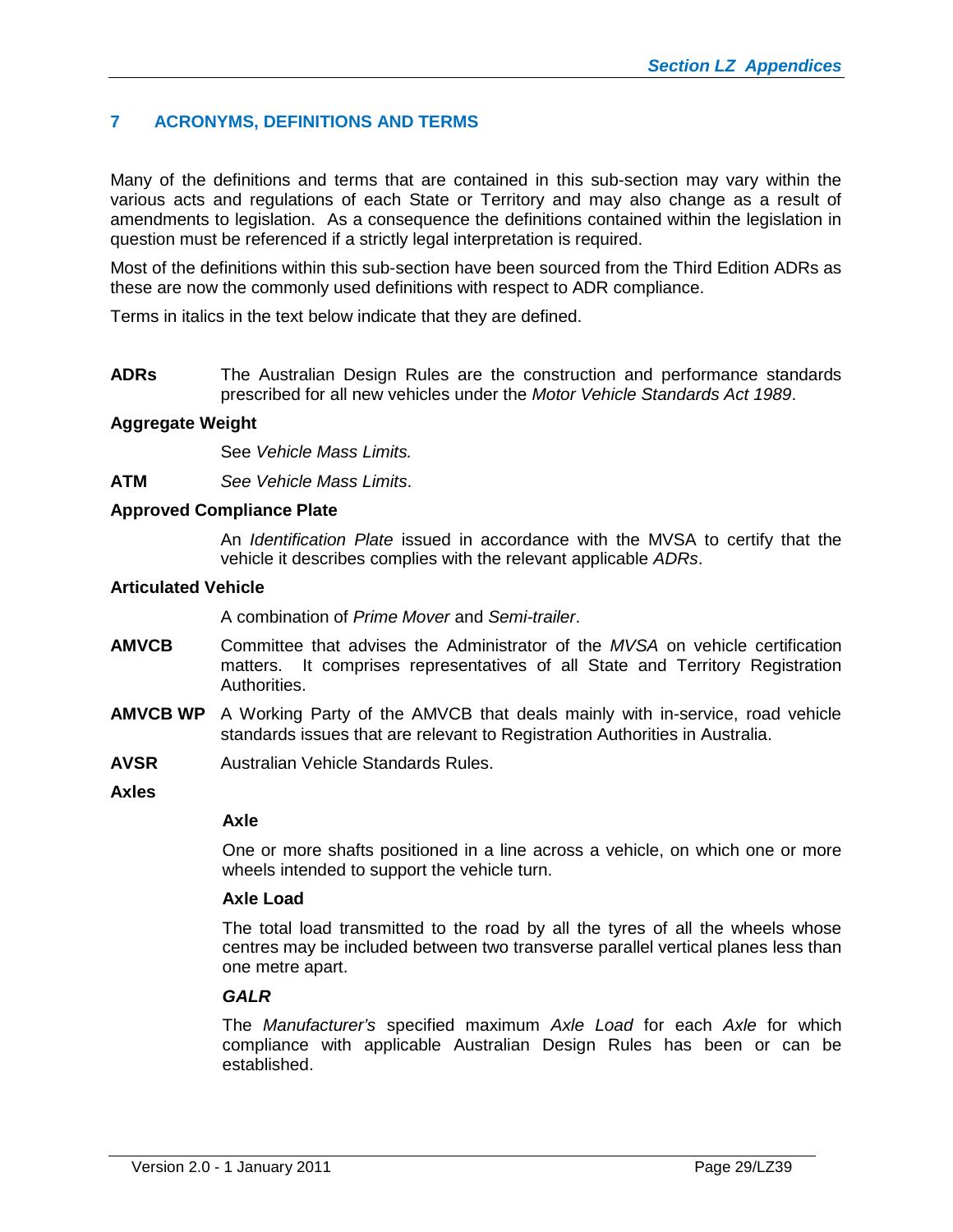# <span id="page-28-0"></span>**7 ACRONYMS, DEFINITIONS AND TERMS**

Many of the definitions and terms that are contained in this sub-section may vary within the various acts and regulations of each State or Territory and may also change as a result of amendments to legislation. As a consequence the definitions contained within the legislation in question must be referenced if a strictly legal interpretation is required.

Most of the definitions within this sub-section have been sourced from the Third Edition ADRs as these are now the commonly used definitions with respect to ADR compliance.

Terms in italics in the text below indicate that they are defined.

**ADRs** The Australian Design Rules are the construction and performance standards prescribed for all new vehicles under the *Motor Vehicle Standards Act 1989*.

#### **Aggregate Weight**

See *Vehicle Mass Limits.*

**ATM** *See Vehicle Mass Limits*.

#### **Approved Compliance Plate**

An *Identification Plate* issued in accordance with the MVSA to certify that the vehicle it describes complies with the relevant applicable *ADRs*.

#### **Articulated Vehicle**

A combination of *Prime Mover* and *Semi-trailer*.

- **AMVCB** Committee that advises the Administrator of the *MVSA* on vehicle certification matters. It comprises representatives of all State and Territory Registration Authorities.
- **AMVCB WP** A Working Party of the AMVCB that deals mainly with in-service, road vehicle standards issues that are relevant to Registration Authorities in Australia.
- **AVSR** Australian Vehicle Standards Rules.
- **Axles**

# **Axle**

One or more shafts positioned in a line across a vehicle, on which one or more wheels intended to support the vehicle turn.

# **Axle Load**

The total load transmitted to the road by all the tyres of all the wheels whose centres may be included between two transverse parallel vertical planes less than one metre apart.

#### *GALR*

The *Manufacturer's* specified maximum *Axle Load* for each *Axle* for which compliance with applicable Australian Design Rules has been or can be established.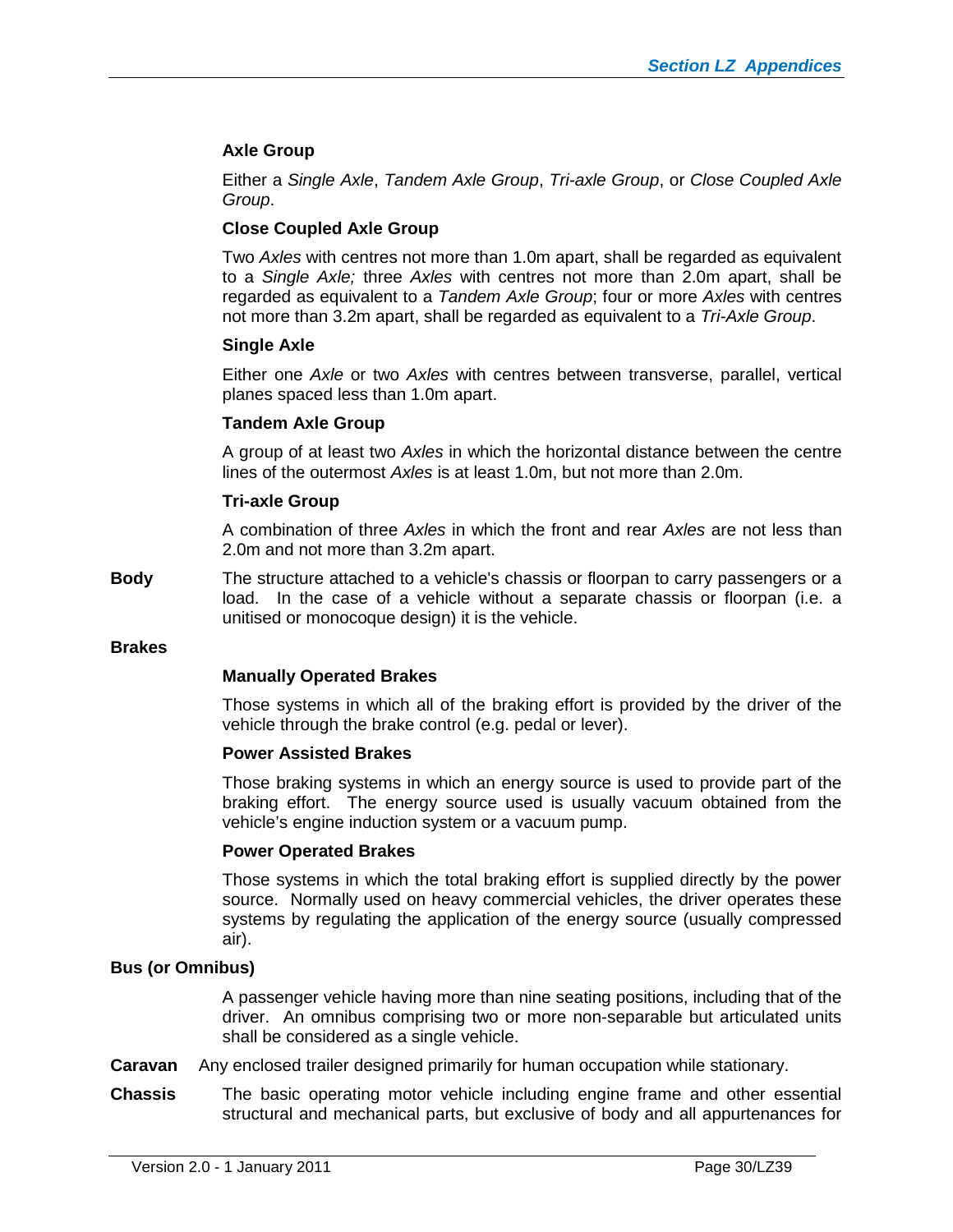### **Axle Group**

Either a *Single Axle*, *Tandem Axle Group*, *Tri-axle Group*, or *Close Coupled Axle Group*.

#### **Close Coupled Axle Group**

Two *Axles* with centres not more than 1.0m apart, shall be regarded as equivalent to a *Single Axle;* three *Axles* with centres not more than 2.0m apart, shall be regarded as equivalent to a *Tandem Axle Group*; four or more *Axles* with centres not more than 3.2m apart, shall be regarded as equivalent to a *Tri-Axle Group*.

#### **Single Axle**

Either one *Axle* or two *Axles* with centres between transverse, parallel, vertical planes spaced less than 1.0m apart.

#### **Tandem Axle Group**

A group of at least two *Axles* in which the horizontal distance between the centre lines of the outermost *Axles* is at least 1.0m, but not more than 2.0m.

#### **Tri-axle Group**

A combination of three *Axles* in which the front and rear *Axles* are not less than 2.0m and not more than 3.2m apart.

**Body** The structure attached to a vehicle's chassis or floorpan to carry passengers or a load. In the case of a vehicle without a separate chassis or floorpan (i.e. a unitised or monocoque design) it is the vehicle.

#### **Brakes**

#### **Manually Operated Brakes**

Those systems in which all of the braking effort is provided by the driver of the vehicle through the brake control (e.g. pedal or lever).

#### **Power Assisted Brakes**

Those braking systems in which an energy source is used to provide part of the braking effort. The energy source used is usually vacuum obtained from the vehicle's engine induction system or a vacuum pump.

#### **Power Operated Brakes**

Those systems in which the total braking effort is supplied directly by the power source. Normally used on heavy commercial vehicles, the driver operates these systems by regulating the application of the energy source (usually compressed air).

#### **Bus (or Omnibus)**

A passenger vehicle having more than nine seating positions, including that of the driver. An omnibus comprising two or more non-separable but articulated units shall be considered as a single vehicle.

- **Caravan** Any enclosed trailer designed primarily for human occupation while stationary.
- **Chassis** The basic operating motor vehicle including engine frame and other essential structural and mechanical parts, but exclusive of body and all appurtenances for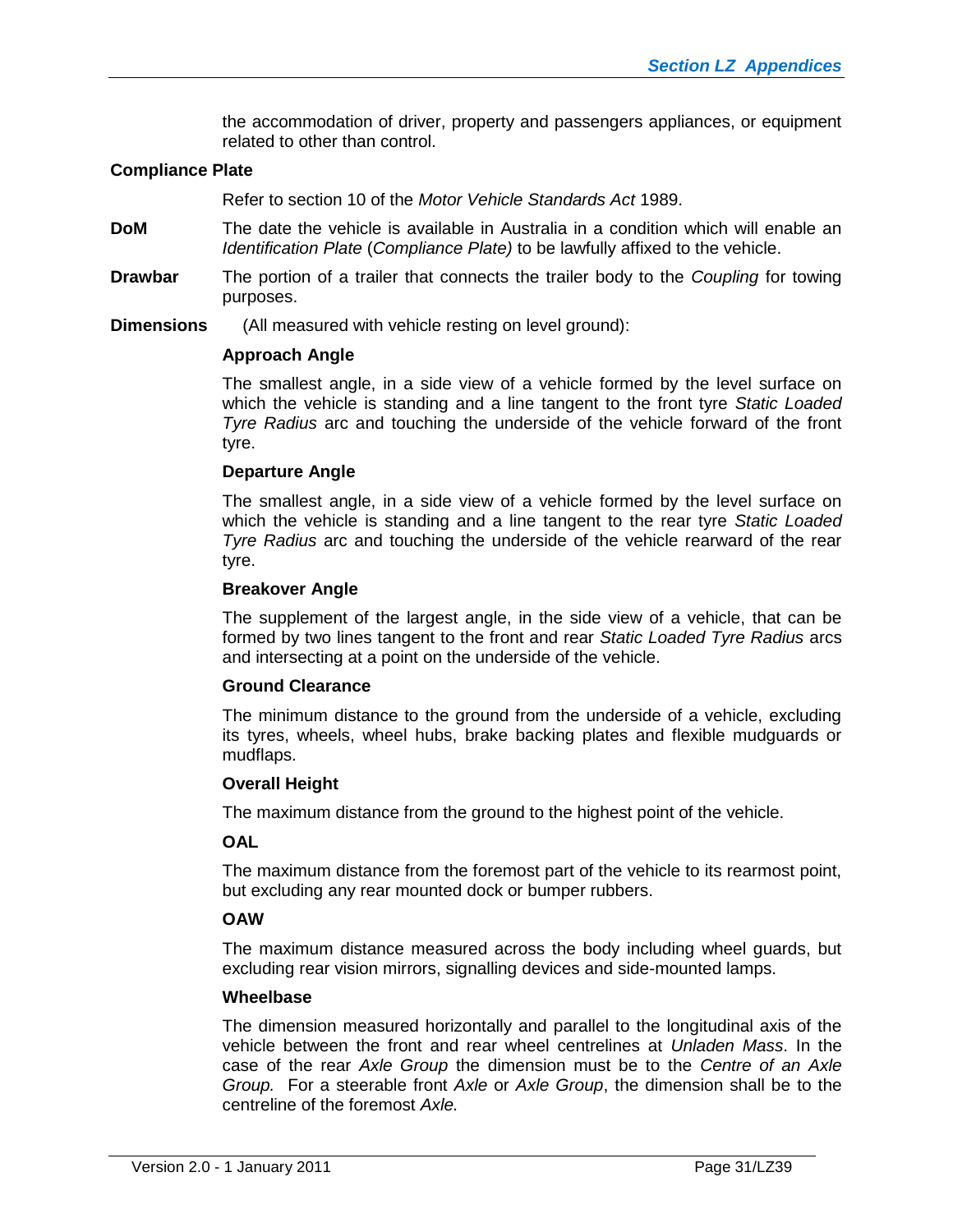the accommodation of driver, property and passengers appliances, or equipment related to other than control.

#### **Compliance Plate**

Refer to section 10 of the *Motor Vehicle Standards Act* 1989.

- **DoM** The date the vehicle is available in Australia in a condition which will enable an *Identification Plate* (*Compliance Plate)* to be lawfully affixed to the vehicle.
- **Drawbar** The portion of a trailer that connects the trailer body to the *Coupling* for towing purposes.
- **Dimensions** (All measured with vehicle resting on level ground):

#### **Approach Angle**

The smallest angle, in a side view of a vehicle formed by the level surface on which the vehicle is standing and a line tangent to the front tyre *Static Loaded Tyre Radius* arc and touching the underside of the vehicle forward of the front tyre.

#### **Departure Angle**

The smallest angle, in a side view of a vehicle formed by the level surface on which the vehicle is standing and a line tangent to the rear tyre *Static Loaded Tyre Radius* arc and touching the underside of the vehicle rearward of the rear tyre.

#### **Breakover Angle**

The supplement of the largest angle, in the side view of a vehicle, that can be formed by two lines tangent to the front and rear *Static Loaded Tyre Radius* arcs and intersecting at a point on the underside of the vehicle.

#### **Ground Clearance**

The minimum distance to the ground from the underside of a vehicle, excluding its tyres, wheels, wheel hubs, brake backing plates and flexible mudguards or mudflaps.

#### **Overall Height**

The maximum distance from the ground to the highest point of the vehicle.

#### **OAL**

The maximum distance from the foremost part of the vehicle to its rearmost point, but excluding any rear mounted dock or bumper rubbers.

#### **OAW**

The maximum distance measured across the body including wheel guards, but excluding rear vision mirrors, signalling devices and side-mounted lamps.

#### **Wheelbase**

The dimension measured horizontally and parallel to the longitudinal axis of the vehicle between the front and rear wheel centrelines at *Unladen Mass*. In the case of the rear *Axle Group* the dimension must be to the *Centre of an Axle Group.* For a steerable front *Axle* or *Axle Group*, the dimension shall be to the centreline of the foremost *Axle.*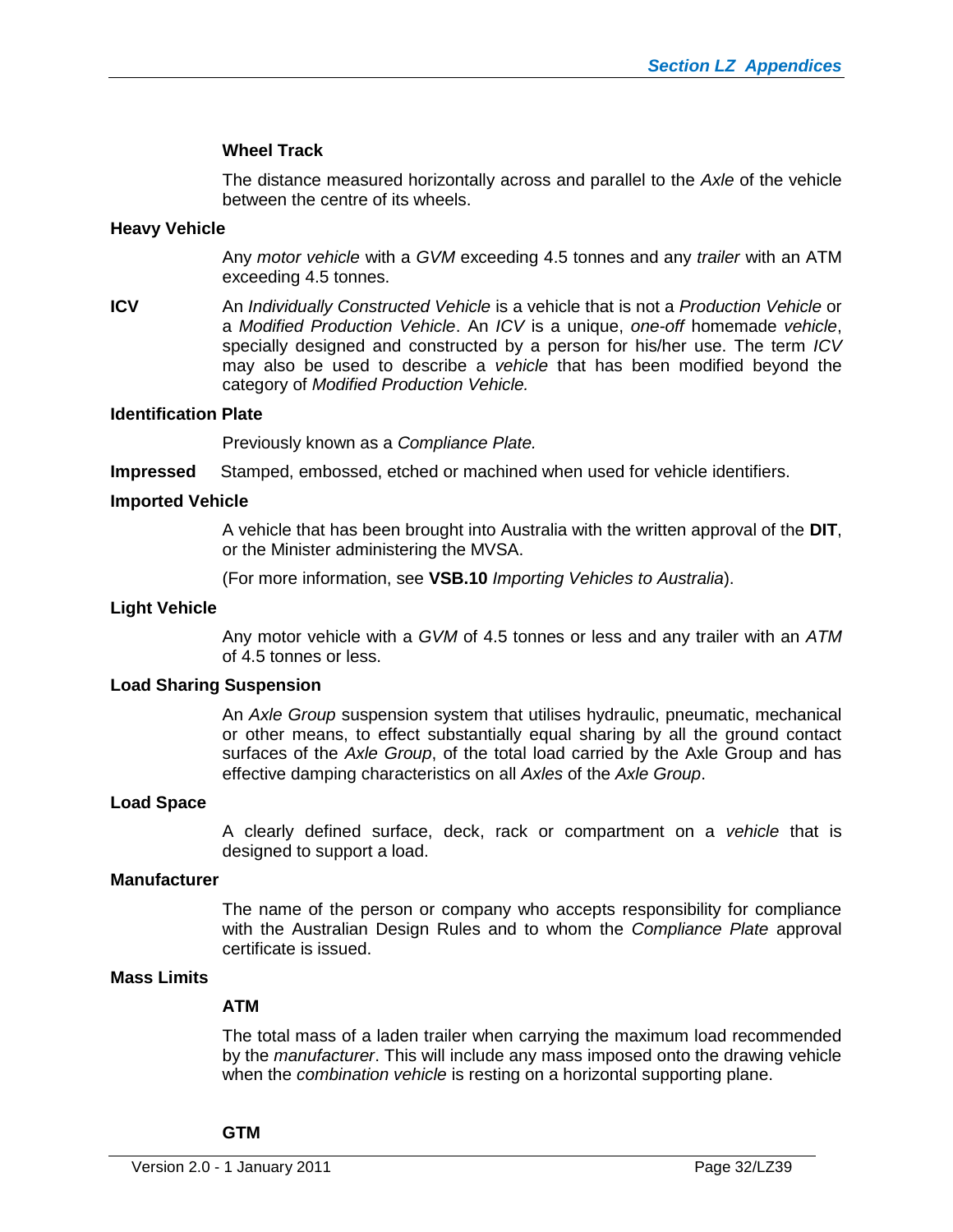#### **Wheel Track**

The distance measured horizontally across and parallel to the *Axle* of the vehicle between the centre of its wheels.

#### **Heavy Vehicle**

Any *motor vehicle* with a *GVM* exceeding 4.5 tonnes and any *trailer* with an ATM exceeding 4.5 tonnes.

**ICV** An *Individually Constructed Vehicle* is a vehicle that is not a *Production Vehicle* or a *Modified Production Vehicle*. An *ICV* is a unique, *one-off* homemade *vehicle*, specially designed and constructed by a person for his/her use. The term *ICV* may also be used to describe a *vehicle* that has been modified beyond the category of *Modified Production Vehicle.*

#### **Identification Plate**

Previously known as a *Compliance Plate.*

**Impressed** Stamped, embossed, etched or machined when used for vehicle identifiers.

#### **Imported Vehicle**

A vehicle that has been brought into Australia with the written approval of the **DIT**, or the Minister administering the MVSA.

(For more information, see **VSB.10** *Importing Vehicles to Australia*).

#### **Light Vehicle**

Any motor vehicle with a *GVM* of 4.5 tonnes or less and any trailer with an *ATM* of 4.5 tonnes or less.

#### **Load Sharing Suspension**

An *Axle Group* suspension system that utilises hydraulic, pneumatic, mechanical or other means, to effect substantially equal sharing by all the ground contact surfaces of the *Axle Group*, of the total load carried by the Axle Group and has effective damping characteristics on all *Axles* of the *Axle Group*.

#### **Load Space**

A clearly defined surface, deck, rack or compartment on a *vehicle* that is designed to support a load.

#### **Manufacturer**

The name of the person or company who accepts responsibility for compliance with the Australian Design Rules and to whom the *Compliance Plate* approval certificate is issued.

#### **Mass Limits**

#### **ATM**

The total mass of a laden trailer when carrying the maximum load recommended by the *manufacturer*. This will include any mass imposed onto the drawing vehicle when the *combination vehicle* is resting on a horizontal supporting plane.

#### **GTM**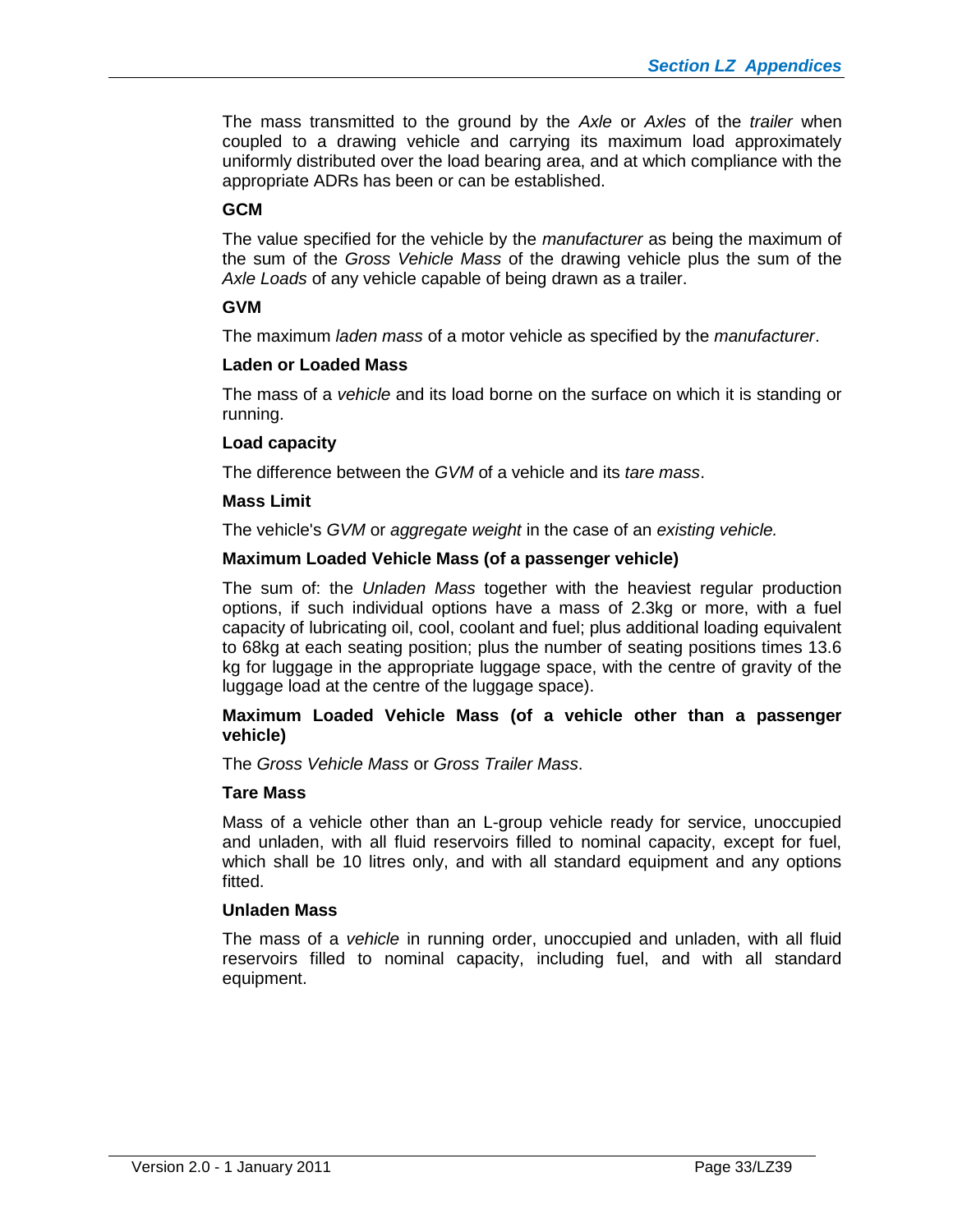The mass transmitted to the ground by the *Axle* or *Axles* of the *trailer* when coupled to a drawing vehicle and carrying its maximum load approximately uniformly distributed over the load bearing area, and at which compliance with the appropriate ADRs has been or can be established.

### **GCM**

The value specified for the vehicle by the *manufacturer* as being the maximum of the sum of the *Gross Vehicle Mass* of the drawing vehicle plus the sum of the *Axle Loads* of any vehicle capable of being drawn as a trailer.

# **GVM**

The maximum *laden mass* of a motor vehicle as specified by the *manufacturer*.

#### **Laden or Loaded Mass**

The mass of a *vehicle* and its load borne on the surface on which it is standing or running.

#### **Load capacity**

The difference between the *GVM* of a vehicle and its *tare mass*.

#### **Mass Limit**

The vehicle's *GVM* or *aggregate weight* in the case of an *existing vehicle.*

#### **Maximum Loaded Vehicle Mass (of a passenger vehicle)**

The sum of: the *Unladen Mass* together with the heaviest regular production options, if such individual options have a mass of 2.3kg or more, with a fuel capacity of lubricating oil, cool, coolant and fuel; plus additional loading equivalent to 68kg at each seating position; plus the number of seating positions times 13.6 kg for luggage in the appropriate luggage space, with the centre of gravity of the luggage load at the centre of the luggage space).

#### **Maximum Loaded Vehicle Mass (of a vehicle other than a passenger vehicle)**

The *Gross Vehicle Mass* or *Gross Trailer Mass*.

#### **Tare Mass**

Mass of a vehicle other than an L-group vehicle ready for service, unoccupied and unladen, with all fluid reservoirs filled to nominal capacity, except for fuel, which shall be 10 litres only, and with all standard equipment and any options fitted.

#### **Unladen Mass**

The mass of a *vehicle* in running order, unoccupied and unladen, with all fluid reservoirs filled to nominal capacity, including fuel, and with all standard equipment.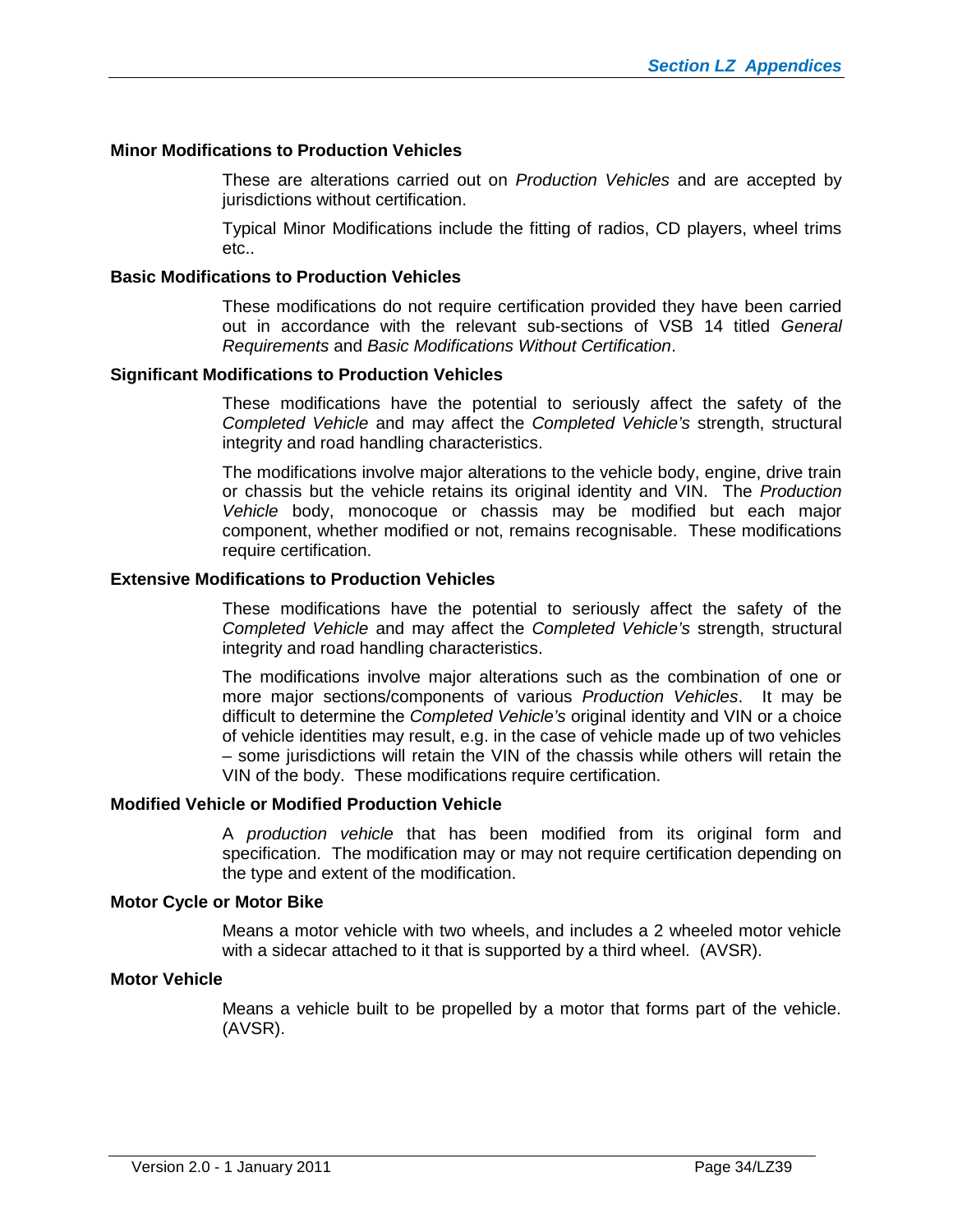#### **Minor Modifications to Production Vehicles**

These are alterations carried out on *Production Vehicles* and are accepted by jurisdictions without certification.

Typical Minor Modifications include the fitting of radios, CD players, wheel trims etc..

#### **Basic Modifications to Production Vehicles**

These modifications do not require certification provided they have been carried out in accordance with the relevant sub-sections of VSB 14 titled *General Requirements* and *Basic Modifications Without Certification*.

#### **Significant Modifications to Production Vehicles**

These modifications have the potential to seriously affect the safety of the *Completed Vehicle* and may affect the *Completed Vehicle's* strength, structural integrity and road handling characteristics.

The modifications involve major alterations to the vehicle body, engine, drive train or chassis but the vehicle retains its original identity and VIN. The *Production Vehicle* body, monocoque or chassis may be modified but each major component, whether modified or not, remains recognisable. These modifications require certification.

#### **Extensive Modifications to Production Vehicles**

These modifications have the potential to seriously affect the safety of the *Completed Vehicle* and may affect the *Completed Vehicle's* strength, structural integrity and road handling characteristics.

The modifications involve major alterations such as the combination of one or more major sections/components of various *Production Vehicles*. It may be difficult to determine the *Completed Vehicle's* original identity and VIN or a choice of vehicle identities may result, e.g. in the case of vehicle made up of two vehicles – some jurisdictions will retain the VIN of the chassis while others will retain the VIN of the body. These modifications require certification.

#### **Modified Vehicle or Modified Production Vehicle**

A *production vehicle* that has been modified from its original form and specification. The modification may or may not require certification depending on the type and extent of the modification.

#### **Motor Cycle or Motor Bike**

Means a motor vehicle with two wheels, and includes a 2 wheeled motor vehicle with a sidecar attached to it that is supported by a third wheel. (AVSR).

#### **Motor Vehicle**

Means a vehicle built to be propelled by a motor that forms part of the vehicle. (AVSR).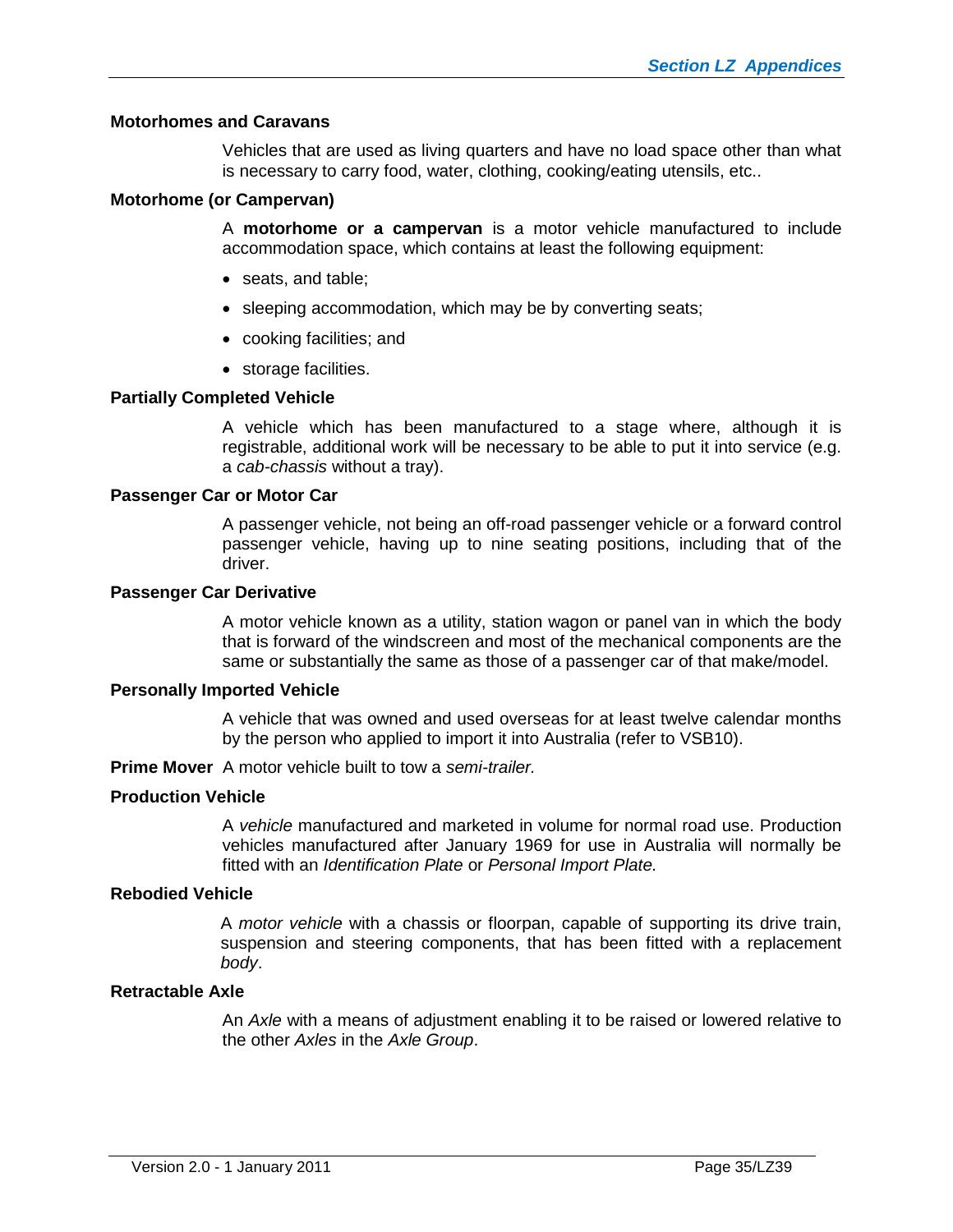#### **Motorhomes and Caravans**

Vehicles that are used as living quarters and have no load space other than what is necessary to carry food, water, clothing, cooking/eating utensils, etc..

#### **Motorhome (or Campervan)**

A **motorhome or a campervan** is a motor vehicle manufactured to include accommodation space, which contains at least the following equipment:

- seats, and table;
- sleeping accommodation, which may be by converting seats;
- cooking facilities; and
- storage facilities.

#### **Partially Completed Vehicle**

A vehicle which has been manufactured to a stage where, although it is registrable, additional work will be necessary to be able to put it into service (e.g. a *cab-chassis* without a tray).

#### **Passenger Car or Motor Car**

A passenger vehicle, not being an off-road passenger vehicle or a forward control passenger vehicle, having up to nine seating positions, including that of the driver.

#### **Passenger Car Derivative**

A motor vehicle known as a utility, station wagon or panel van in which the body that is forward of the windscreen and most of the mechanical components are the same or substantially the same as those of a passenger car of that make/model.

#### **Personally Imported Vehicle**

A vehicle that was owned and used overseas for at least twelve calendar months by the person who applied to import it into Australia (refer to VSB10).

**Prime Mover** A motor vehicle built to tow a *semi-trailer.*

#### **Production Vehicle**

A *vehicle* manufactured and marketed in volume for normal road use. Production vehicles manufactured after January 1969 for use in Australia will normally be fitted with an *Identification Plate* or *Personal Import Plate.*

#### **Rebodied Vehicle**

A *motor vehicle* with a chassis or floorpan, capable of supporting its drive train, suspension and steering components, that has been fitted with a replacement *body*.

#### **Retractable Axle**

An *Axle* with a means of adjustment enabling it to be raised or lowered relative to the other *Axles* in the *Axle Group*.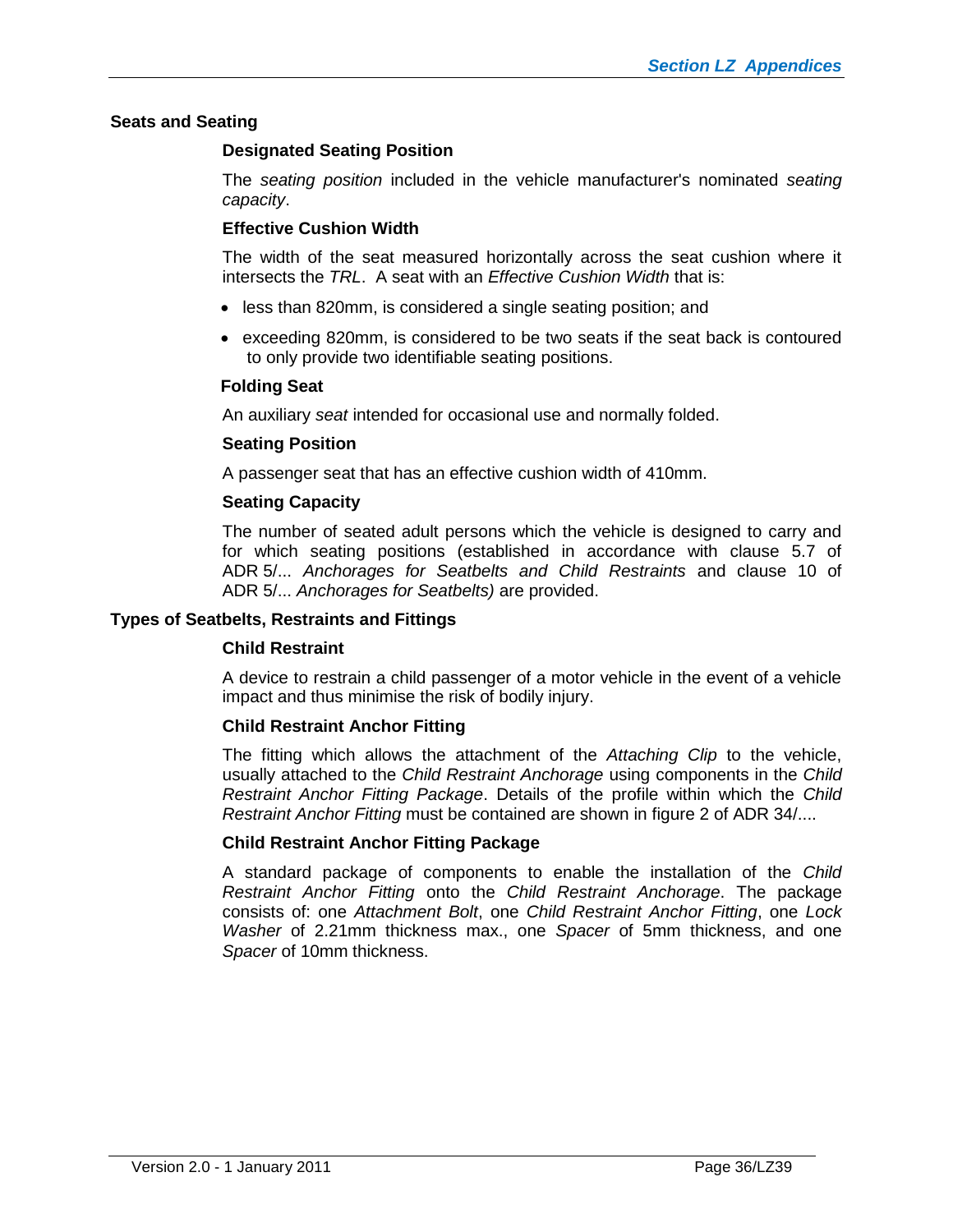#### **Seats and Seating**

#### **Designated Seating Position**

The *seating position* included in the vehicle manufacturer's nominated *seating capacity*.

#### **Effective Cushion Width**

The width of the seat measured horizontally across the seat cushion where it intersects the *TRL*. A seat with an *Effective Cushion Width* that is:

- less than 820mm, is considered a single seating position; and
- exceeding 820mm, is considered to be two seats if the seat back is contoured to only provide two identifiable seating positions.

#### **Folding Seat**

An auxiliary *seat* intended for occasional use and normally folded.

#### **Seating Position**

A passenger seat that has an effective cushion width of 410mm.

#### **Seating Capacity**

The number of seated adult persons which the vehicle is designed to carry and for which seating positions (established in accordance with clause 5.7 of ADR 5/... *Anchorages for Seatbelts and Child Restraints* and clause 10 of ADR 5/... *Anchorages for Seatbelts)* are provided.

#### **Types of Seatbelts, Restraints and Fittings**

#### **Child Restraint**

A device to restrain a child passenger of a motor vehicle in the event of a vehicle impact and thus minimise the risk of bodily injury.

#### **Child Restraint Anchor Fitting**

The fitting which allows the attachment of the *Attaching Clip* to the vehicle, usually attached to the *Child Restraint Anchorage* using components in the *Child Restraint Anchor Fitting Package*. Details of the profile within which the *Child Restraint Anchor Fitting* must be contained are shown in figure 2 of ADR 34/....

#### **Child Restraint Anchor Fitting Package**

A standard package of components to enable the installation of the *Child Restraint Anchor Fitting* onto the *Child Restraint Anchorage*. The package consists of: one *Attachment Bolt*, one *Child Restraint Anchor Fitting*, one *Lock Washer* of 2.21mm thickness max., one *Spacer* of 5mm thickness, and one *Spacer* of 10mm thickness.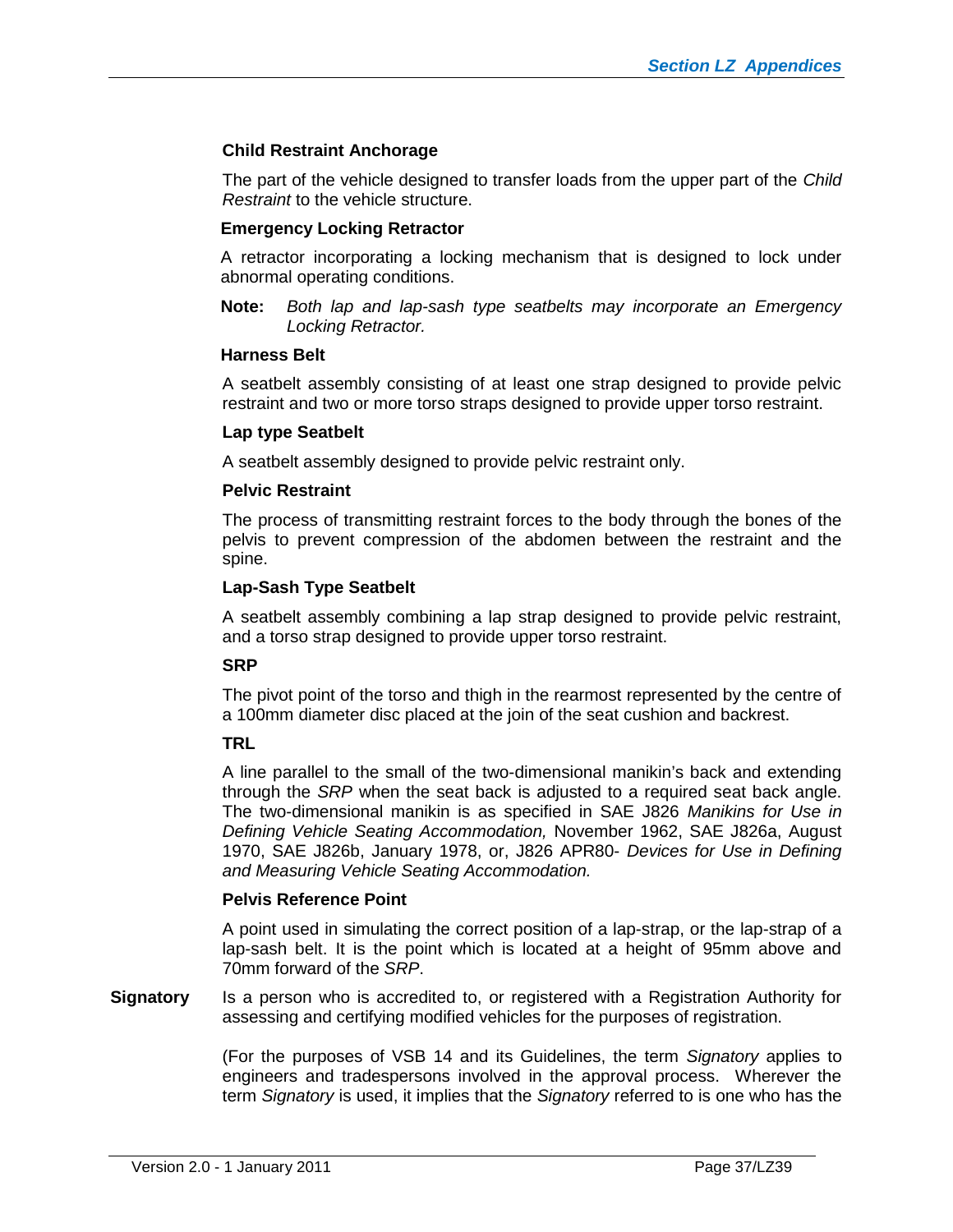# **Child Restraint Anchorage**

The part of the vehicle designed to transfer loads from the upper part of the *Child Restraint* to the vehicle structure.

### **Emergency Locking Retractor**

A retractor incorporating a locking mechanism that is designed to lock under abnormal operating conditions.

**Note:** *Both lap and lap-sash type seatbelts may incorporate an Emergency Locking Retractor.*

#### **Harness Belt**

A seatbelt assembly consisting of at least one strap designed to provide pelvic restraint and two or more torso straps designed to provide upper torso restraint.

# **Lap type Seatbelt**

A seatbelt assembly designed to provide pelvic restraint only.

#### **Pelvic Restraint**

The process of transmitting restraint forces to the body through the bones of the pelvis to prevent compression of the abdomen between the restraint and the spine.

#### **Lap-Sash Type Seatbelt**

A seatbelt assembly combining a lap strap designed to provide pelvic restraint, and a torso strap designed to provide upper torso restraint.

#### **SRP**

The pivot point of the torso and thigh in the rearmost represented by the centre of a 100mm diameter disc placed at the join of the seat cushion and backrest.

# **TRL**

A line parallel to the small of the two-dimensional manikin's back and extending through the *SRP* when the seat back is adjusted to a required seat back angle. The two-dimensional manikin is as specified in SAE J826 *Manikins for Use in Defining Vehicle Seating Accommodation,* November 1962, SAE J826a, August 1970, SAE J826b, January 1978, or, J826 APR80- *Devices for Use in Defining and Measuring Vehicle Seating Accommodation.*

#### **Pelvis Reference Point**

A point used in simulating the correct position of a lap-strap, or the lap-strap of a lap-sash belt. It is the point which is located at a height of 95mm above and 70mm forward of the *SRP*.

**Signatory** Is a person who is accredited to, or registered with a Registration Authority for assessing and certifying modified vehicles for the purposes of registration.

> (For the purposes of VSB 14 and its Guidelines, the term *Signatory* applies to engineers and tradespersons involved in the approval process. Wherever the term *Signatory* is used, it implies that the *Signatory* referred to is one who has the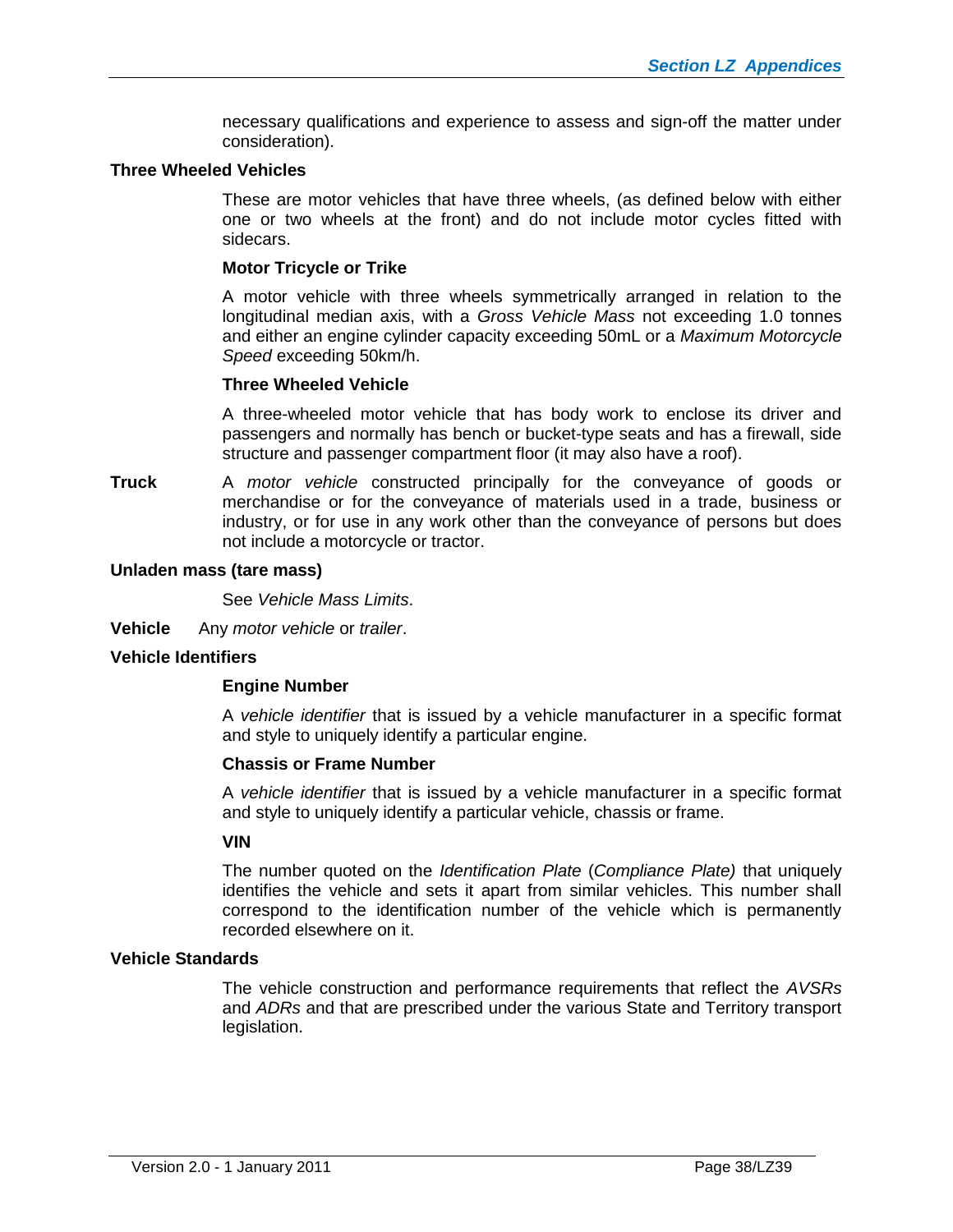necessary qualifications and experience to assess and sign-off the matter under consideration).

#### **Three Wheeled Vehicles**

These are motor vehicles that have three wheels, (as defined below with either one or two wheels at the front) and do not include motor cycles fitted with sidecars.

#### **Motor Tricycle or Trike**

A motor vehicle with three wheels symmetrically arranged in relation to the longitudinal median axis, with a *Gross Vehicle Mass* not exceeding 1.0 tonnes and either an engine cylinder capacity exceeding 50mL or a *Maximum Motorcycle Speed* exceeding 50km/h.

#### **Three Wheeled Vehicle**

A three-wheeled motor vehicle that has body work to enclose its driver and passengers and normally has bench or bucket-type seats and has a firewall, side structure and passenger compartment floor (it may also have a roof).

**Truck** A *motor vehicle* constructed principally for the conveyance of goods or merchandise or for the conveyance of materials used in a trade, business or industry, or for use in any work other than the conveyance of persons but does not include a motorcycle or tractor.

#### **Unladen mass (tare mass)**

See *Vehicle Mass Limits*.

**Vehicle** Any *motor vehicle* or *trailer*.

#### **Vehicle Identifiers**

#### **Engine Number**

A *vehicle identifier* that is issued by a vehicle manufacturer in a specific format and style to uniquely identify a particular engine.

#### **Chassis or Frame Number**

A *vehicle identifier* that is issued by a vehicle manufacturer in a specific format and style to uniquely identify a particular vehicle, chassis or frame.

#### **VIN**

The number quoted on the *Identification Plate* (*Compliance Plate)* that uniquely identifies the vehicle and sets it apart from similar vehicles. This number shall correspond to the identification number of the vehicle which is permanently recorded elsewhere on it.

#### **Vehicle Standards**

The vehicle construction and performance requirements that reflect the *AVSRs* and *ADRs* and that are prescribed under the various State and Territory transport legislation.